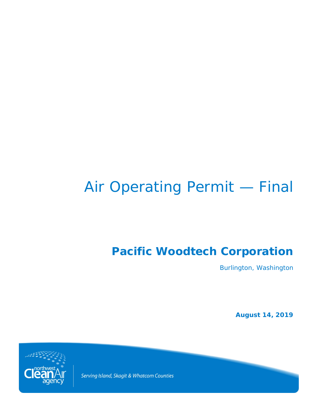# Air Operating Permit — Final

# **Pacific Woodtech Corporation**

Burlington, Washington

**August 14, 2019**



Serving Island, Skagit & Whatcom Counties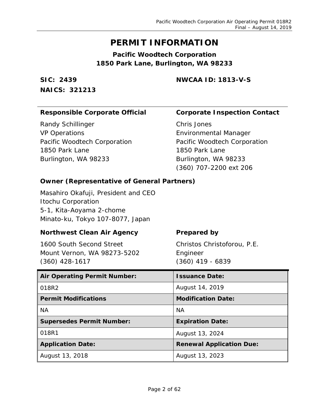## **PERMIT INFORMATION**

**Pacific Woodtech Corporation 1850 Park Lane, Burlington, WA 98233**

**SIC: 2439 NAICS: 321213** **NWCAA ID: 1813-V-S**

## **Responsible Corporate Official Corporate Inspection Contact**

Randy Schillinger VP Operations Pacific Woodtech Corporation 1850 Park Lane Burlington, WA 98233

Chris Jones Environmental Manager Pacific Woodtech Corporation 1850 Park Lane Burlington, WA 98233 (360) 707-2200 ext 206

## **Owner (Representative of General Partners)**

Masahiro Okafuji, President and CEO Itochu Corporation 5-1, Kita-Aoyama 2-chome Minato-ku, Tokyo 107-8077, Japan

## **Northwest Clean Air Agency Figure 2 Prepared by**

1600 South Second Street Mount Vernon, WA 98273-5202 (360) 428-1617

Christos Christoforou, P.E. Engineer (360) 419 - 6839

| <b>Air Operating Permit Number:</b> | <b>Issuance Date:</b>           |
|-------------------------------------|---------------------------------|
| 018R2                               | August 14, 2019                 |
| <b>Permit Modifications</b>         | <b>Modification Date:</b>       |
| <b>NA</b>                           | <b>NA</b>                       |
| <b>Supersedes Permit Number:</b>    | <b>Expiration Date:</b>         |
| 018R1                               | August 13, 2024                 |
| <b>Application Date:</b>            | <b>Renewal Application Due:</b> |
| August 13, 2018                     | August 13, 2023                 |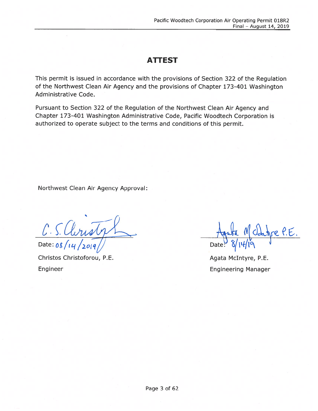## ATTEST

This permit is issued in accordance with the provisions of Section 322 of the Regulation of the Northwest Clean Air Agency and the provisions of Chapter 173-401 Washington Administrative Code.

Pursuant to Section 322 of the Regulation of the Northwest Clean Air Agency and Chapter 173-401 Washington Administrative Code, Pacific Woodtech Corporation is authorized to operate subject to the terms and conditions of this permit.

Northwest Clean Air Agency Approval:

C. S. Clinsty Date:  $08/14$ 

Christos Christoforou, P.E. Engineer

M Ohre P.E Date

Agata McIntyre, P.E. Engineering Manager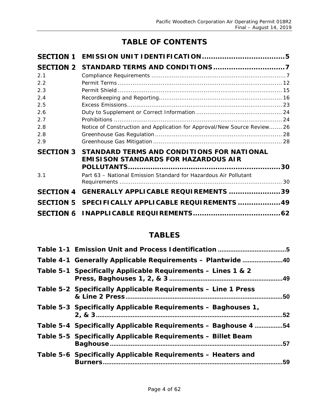## **TABLE OF CONTENTS**

| STANDARD TERMS AND CONDITIONS FOR NATIONAL<br><b>EMISISON STANDARDS FOR HAZARDOUS AIR</b> | 30                                                                                                                                                           |
|-------------------------------------------------------------------------------------------|--------------------------------------------------------------------------------------------------------------------------------------------------------------|
| Part 63 - National Emission Standard for Hazardous Air Pollutant                          |                                                                                                                                                              |
|                                                                                           |                                                                                                                                                              |
|                                                                                           |                                                                                                                                                              |
|                                                                                           |                                                                                                                                                              |
|                                                                                           | Notice of Construction and Application for Approval/New Source Review 26<br>GENERALLY APPLICABLE REQUIREMENTS 39<br>SPECIFICALLY APPLICABLE REQUIREMENTS  49 |

## **TABLES**

| Table 4-1 Generally Applicable Requirements - Plantwide 40              |     |
|-------------------------------------------------------------------------|-----|
| Table 5-1 Specifically Applicable Requirements - Lines 1 & 2            |     |
| Table 5-2 Specifically Applicable Requirements - Line 1 Press           | .50 |
| Table 5-3 Specifically Applicable Requirements - Baghouses 1,           | .52 |
| Table 5-4 Specifically Applicable Requirements - Baghouse 4             | .54 |
| Table 5-5 Specifically Applicable Requirements - Billet Beam            | .57 |
| Table 5-6 Specifically Applicable Requirements – Heaters and<br>Burners | 59  |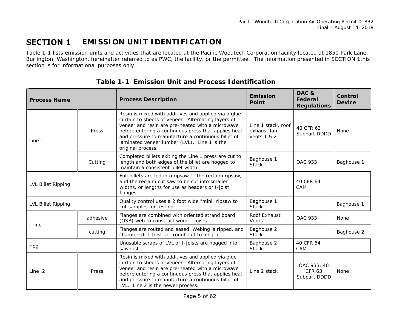#### <span id="page-4-3"></span>**SECTION 1 EMISSION UNIT IDENTIFICATION**

[Table 1-1](#page-4-2) lists emission units and activities that are located at the Pacific Woodtech Corporation facility located at 1850 Park Lane, Burlington, Washington, hereinafter referred to as PWC, the facility, or the permittee. The information presented in [SECTION 1t](#page-4-3)his section is for informational purposes only.

<span id="page-4-0"></span>

| <b>Process Name</b> |          | <b>Process Description</b>                                                                                                                                                                                                                                                                                                                        | <b>Emission</b><br><b>Point</b>                    | OAC&<br>Federal<br><b>Regulations</b>        | Control<br><b>Device</b> |
|---------------------|----------|---------------------------------------------------------------------------------------------------------------------------------------------------------------------------------------------------------------------------------------------------------------------------------------------------------------------------------------------------|----------------------------------------------------|----------------------------------------------|--------------------------|
| Line 1              | Press    | Resin is mixed with additives and applied via a glue<br>curtain to sheets of veneer. Alternating layers of<br>veneer and resin are pre-heated with a microwave<br>before entering a continuous press that applies heat<br>and pressure to manufacture a continuous billet of<br>laminated veneer lumber (LVL). Line 1 is the<br>original process. | Line 1 stack, roof<br>exhaust fan<br>vents $1 & 2$ | 40 CFR 63<br>Subpart DDDD                    | None                     |
|                     | Cutting  | Completed billets exiting the Line 1 press are cut to<br>length and both edges of the billet are hogged to<br>maintain a consistent billet width.                                                                                                                                                                                                 | Baghouse 1<br><b>Stack</b>                         | <b>OAC 933</b>                               | Baghouse 1               |
| LVL Billet Ripping  |          | Full billets are fed into ripsaw 1, the reclaim ripsaw,<br>and the reclaim cut saw to be cut into smaller<br>widths, or lengths for use as headers or I-joist<br>flanges.                                                                                                                                                                         |                                                    | 40 CFR 64<br>CAM                             |                          |
| LVL Billet Ripping  |          | Quality control uses a 2 foot wide "mini" ripsaw to<br>cut samples for testing.                                                                                                                                                                                                                                                                   | Baghouse 1<br><b>Stack</b>                         |                                              | Baghouse 1               |
| I-line              | adhesive | Flanges are combined with oriented strand board<br>(OSB) web to construct wood I-joists.                                                                                                                                                                                                                                                          | Roof Exhaust<br>Vents                              | OAC 933                                      | None                     |
|                     | cutting  | Flanges are routed and eased. Webing is ripped, and<br>chamfered, I-Joist are rough cut to length.                                                                                                                                                                                                                                                | Baghouse 2<br><b>Stack</b>                         |                                              | Baghouse 2               |
| Hog                 |          | Unusable scraps of LVL or I-joists are hogged into<br>sawdust.                                                                                                                                                                                                                                                                                    | Baghouse 2<br><b>Stack</b>                         | 40 CFR 64<br>CAM                             |                          |
| Line <sub>2</sub>   | Press    | Resin is mixed with additives and applied via glue<br>curtain to sheets of veneer. Alternating layers of<br>veneer and resin are pre-heated with a microwave<br>before entering a continuous press that applies heat<br>and pressure to manufacture a continuous billet of<br>LVL. Line 2 is the newer process.                                   | Line 2 stack                                       | OAC 933, 40<br><b>CFR 63</b><br>Subpart DDDD | None                     |

<span id="page-4-2"></span><span id="page-4-1"></span>**Table 1-1 Emission Unit and Process Identification**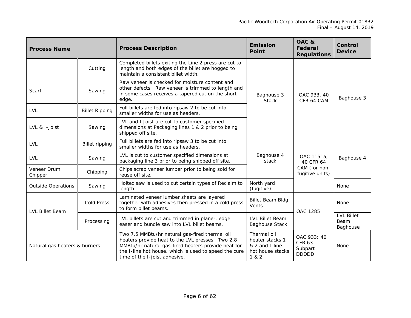| <b>Process Name</b>           |                       | <b>Process Description</b>                                                                                                                                                                                                                          | <b>Emission</b><br><b>Point</b>                                               | OAC&<br>Federal<br><b>Regulations</b>                   | Control<br><b>Device</b>              |
|-------------------------------|-----------------------|-----------------------------------------------------------------------------------------------------------------------------------------------------------------------------------------------------------------------------------------------------|-------------------------------------------------------------------------------|---------------------------------------------------------|---------------------------------------|
|                               | Cutting               | Completed billets exiting the Line 2 press are cut to<br>length and both edges of the billet are hogged to<br>maintain a consistent billet width.                                                                                                   |                                                                               |                                                         |                                       |
| Scarf                         | Sawing                | Raw veneer is checked for moisture content and<br>other defects. Raw veneer is trimmed to length and<br>in some cases receives a tapered cut on the short<br>edge.                                                                                  | Baghouse 3<br><b>Stack</b>                                                    | OAC 933, 40<br>CFR 64 CAM                               | Baghouse 3                            |
| <b>LVL</b>                    | <b>Billet Ripping</b> | Full billets are fed into ripsaw 2 to be cut into<br>smaller widths for use as headers.                                                                                                                                                             |                                                                               |                                                         |                                       |
| LVL & I-Joist                 | Sawing                | LVL and I Joist are cut to customer specified<br>dimensions at Packaging lines 1 & 2 prior to being<br>shipped off site.                                                                                                                            |                                                                               |                                                         |                                       |
| <b>LVL</b>                    | <b>Billet ripping</b> | Full billets are fed into ripsaw 3 to be cut into<br>smaller widths for use as headers.                                                                                                                                                             |                                                                               |                                                         |                                       |
| LVL                           | Sawing                | LVL is cut to customer specified dimensions at<br>packaging line 3 prior to being shipped off site.                                                                                                                                                 | Baghouse 4<br>stack                                                           | OAC 1151a,<br>40 CFR 64                                 | Baghouse 4                            |
| Veneer Drum<br>Chipper        | Chipping              | Chips scrap veneer lumber prior to being sold for<br>reuse off site.                                                                                                                                                                                |                                                                               | CAM (for non-<br>fugitive units)                        |                                       |
| <b>Outside Operations</b>     | Sawing                | Holtec saw is used to cut certain types of Reclaim to<br>length.                                                                                                                                                                                    | North yard<br>(fugitive)                                                      |                                                         | None                                  |
| <b>LVL Billet Beam</b>        | <b>Cold Press</b>     | Laminated veneer lumber sheets are layered<br>together with adhesives then pressed in a cold press<br>to form billet beams.                                                                                                                         | <b>Billet Beam Bldg</b><br>Vents                                              | OAC 1285                                                | None                                  |
|                               | Processing            | LVL billets are cut and trimmed in planer, edge<br>easer and bundle saw into LVL billet beams.                                                                                                                                                      | LVL Billet Beam<br><b>Baghouse Stack</b>                                      |                                                         | <b>LVL Billet</b><br>Beam<br>Baghouse |
| Natural gas heaters & burners |                       | Two 7.5 MMBtu/hr natural gas-fired thermal oil<br>heaters provide heat to the LVL presses. Two 2.8<br>MMBtu/hr natural gas-fired heaters provide heat for<br>the I-line hot house, which is used to speed the cure<br>time of the I-joist adhesive. | Thermal oil<br>heater stacks 1<br>& 2 and I-line<br>hot house stacks<br>1 & 2 | OAC 933; 40<br><b>CFR 63</b><br>Subpart<br><b>DDDDD</b> | None                                  |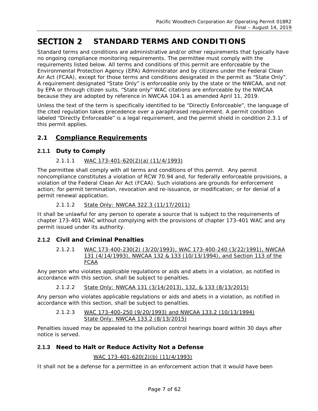#### <span id="page-6-0"></span>**SECTION 2 STANDARD TERMS AND CONDITIONS**

Standard terms and conditions are administrative and/or other requirements that typically have no ongoing compliance monitoring requirements. The permittee must comply with the requirements listed below. All terms and conditions of this permit are enforceable by the Environmental Protection Agency (EPA) Administrator and by citizens under the Federal Clean Air Act (FCAA), except for those terms and conditions designated in the permit as "State Only". A requirement designated "State Only" is enforceable only by the state or the NWCAA, and not by EPA or through citizen suits. "State only" WAC citations are enforceable by the NWCAA because they are adopted by reference in NWCAA 104.1 as amended April 11, 2019.

Unless the text of the term is specifically identified to be "Directly Enforceable", the language of the cited regulation takes precedence over a paraphrased requirement. A permit condition labeled "Directly Enforceable" is a legal requirement, and the permit shield in condition 2.3.1 of this permit applies.

## <span id="page-6-1"></span>**2.1 Compliance Requirements**

## **2.1.1 Duty to Comply**

## *2.1.1.1 WAC 173-401-620(2)(a) (11/4/1993)*

The permittee shall comply with all terms and conditions of this permit. Any permit noncompliance constitutes a violation of RCW 70.94 and, for federally enforceable provisions, a violation of the Federal Clean Air Act (FCAA). Such violations are grounds for enforcement action; for permit termination, revocation and re-issuance, or modification; or for denial of a permit renewal application.

## *2.1.1.2 State Only: NWCAA 322.3 (11/17/2011)*

It shall be unlawful for any person to operate a source that is subject to the requirements of chapter 173-401 WAC without complying with the provisions of chapter 173-401 WAC and any permit issued under its authority.

## **2.1.2 Civil and Criminal Penalties**

*2.1.2.1 WAC 173-400-230(2) (3/20/1993), WAC 173-400-240 (3/22/1991), NWCAA 131 (4/14/1993), NWCAA 132 & 133 (10/13/1994), and Section 113 of the FCAA*

Any person who violates applicable regulations or aids and abets in a violation, as notified in accordance with this section, shall be subject to penalties.

*2.1.2.2 State Only: NWCAA 131 (3/14/2013), 132, & 133 (8/13/2015)*

Any person who violates applicable regulations or aids and abets in a violation, as notified in accordance with this section, shall be subject to penalties.

## *2.1.2.3 WAC 173-400-250 (9/20/1993) and NWCAA 133.2 (10/13/1994) State Only: NWCAA 133.2 (8/13/2015)*

Penalties issued may be appealed to the pollution control hearings board within 30 days after notice is served.

## **2.1.3 Need to Halt or Reduce Activity Not a Defense**

## *WAC 173-401-620(2)(b) (11/4/1993)*

It shall not be a defense for a permittee in an enforcement action that it would have been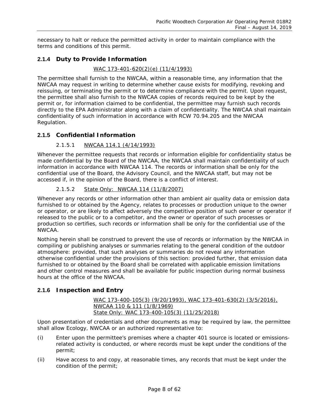necessary to halt or reduce the permitted activity in order to maintain compliance with the terms and conditions of this permit.

## **2.1.4 Duty to Provide Information**

## *WAC 173-401-620(2)(e) (11/4/1993)*

The permittee shall furnish to the NWCAA, within a reasonable time, any information that the NWCAA may request in writing to determine whether cause exists for modifying, revoking and reissuing, or terminating the permit or to determine compliance with the permit. Upon request, the permittee shall also furnish to the NWCAA copies of records required to be kept by the permit or, for information claimed to be confidential, the permittee may furnish such records directly to the EPA Administrator along with a claim of confidentiality. The NWCAA shall maintain confidentiality of such information in accordance with RCW 70.94.205 and the NWCAA Regulation.

## **2.1.5 Confidential Information**

## *2.1.5.1 NWCAA 114.1 (4/14/1993)*

Whenever the permittee requests that records or information eligible for confidentiality status be made confidential by the Board of the NWCAA, the NWCAA shall maintain confidentiality of such information in accordance with NWCAA 114. The records or information shall be only for the confidential use of the Board, the Advisory Council, and the NWCAA staff, but may not be accessed if, in the opinion of the Board, there is a conflict of interest.

## *2.1.5.2 State Only: NWCAA 114 (11/8/2007)*

Whenever any records or other information other than ambient air quality data or emission data furnished to or obtained by the Agency, relates to processes or production unique to the owner or operator, or are likely to affect adversely the competitive position of such owner or operator if released to the public or to a competitor, and the owner or operator of such processes or production so certifies, such records or information shall be only for the confidential use of the NWCAA.

Nothing herein shall be construed to prevent the use of records or information by the NWCAA in compiling or publishing analyses or summaries relating to the general condition of the outdoor atmosphere: provided, that such analyses or summaries do not reveal any information otherwise confidential under the provisions of this section: provided further, that emission data furnished to or obtained by the Board shall be correlated with applicable emission limitations and other control measures and shall be available for public inspection during normal business hours at the office of the NWCAA.

## **2.1.6 Inspection and Entry**

## *WAC 173-400-105(3) (9/20/1993), WAC 173-401-630(2) (3/5/2016), NWCAA 110 & 111 (1/8/1969) State Only: WAC 173-400-105(3) (11/25/2018)*

Upon presentation of credentials and other documents as may be required by law, the permittee shall allow Ecology, NWCAA or an authorized representative to:

- (i) Enter upon the permittee's premises where a chapter 401 source is located or emissionsrelated activity is conducted, or where records must be kept under the conditions of the permit;
- (ii) Have access to and copy, at reasonable times, any records that must be kept under the condition of the permit;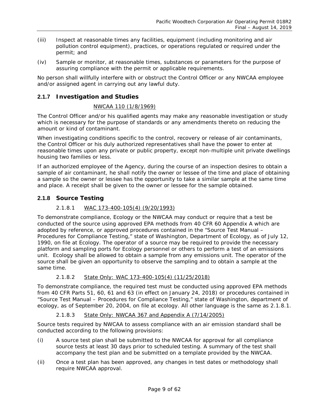- (iii) Inspect at reasonable times any facilities, equipment (including monitoring and air pollution control equipment), practices, or operations regulated or required under the permit; and
- (iv) Sample or monitor, at reasonable times, substances or parameters for the purpose of assuring compliance with the permit or applicable requirements.

No person shall willfully interfere with or obstruct the Control Officer or any NWCAA employee and/or assigned agent in carrying out any lawful duty.

## <span id="page-8-1"></span>**2.1.7 Investigation and Studies**

## *NWCAA 110 (1/8/1969)*

The Control Officer and/or his qualified agents may make any reasonable investigation or study which is necessary for the purpose of standards or any amendments thereto on reducing the amount or kind of contaminant.

When investigating conditions specific to the control, recovery or release of air contaminants, the Control Officer or his duly authorized representatives shall have the power to enter at reasonable times upon any private or public property, except non-multiple unit private dwellings housing two families or less.

If an authorized employee of the Agency, during the course of an inspection desires to obtain a sample of air contaminant, he shall notify the owner or lessee of the time and place of obtaining a sample so the owner or lessee has the opportunity to take a similar sample at the same time and place. A receipt shall be given to the owner or lessee for the sample obtained.

## <span id="page-8-0"></span>**2.1.8 Source Testing**

## *2.1.8.1 WAC 173-400-105(4) (9/20/1993)*

To demonstrate compliance, Ecology or the NWCAA may conduct or require that a test be conducted of the source using approved EPA methods from 40 CFR 60 Appendix A which are adopted by reference, or approved procedures contained in the "Source Test Manual – Procedures for Compliance Testing," state of Washington, Department of Ecology, as of July 12, 1990, on file at Ecology. The operator of a source may be required to provide the necessary platform and sampling ports for Ecology personnel or others to perform a test of an emissions unit. Ecology shall be allowed to obtain a sample from any emissions unit. The operator of the source shall be given an opportunity to observe the sampling and to obtain a sample at the same time.

## *2.1.8.2 State Only: WAC 173-400-105(4) (11/25/2018)*

To demonstrate compliance, the required test must be conducted using approved EPA methods from 40 CFR Parts 51, 60, 61 and 63 (in effect on January 24, 2018) or procedures contained in "*Source Test Manual – Procedures for Compliance Testing*," state of Washington, department of ecology, as of September 20, 2004, on file at ecology. All other language is the same as [2.1.8.1.](#page-8-0)

## *2.1.8.3 State Only: NWCAA 367 and Appendix A (7/14/2005)*

Source tests required by NWCAA to assess compliance with an air emission standard shall be conducted according to the following provisions:

- (i) A source test plan shall be submitted to the NWCAA for approval for all compliance source tests at least 30 days prior to scheduled testing. A summary of the test shall accompany the test plan and be submitted on a template provided by the NWCAA.
- (ii) Once a test plan has been approved, any changes in test dates or methodology shall require NWCAA approval.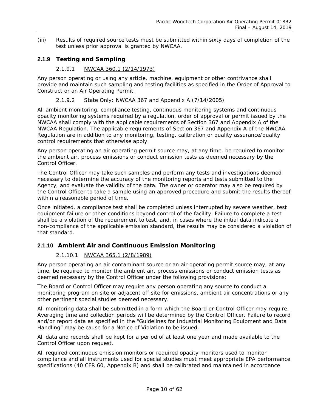(iii) Results of required source tests must be submitted within sixty days of completion of the test unless prior approval is granted by NWCAA.

## **2.1.9 Testing and Sampling**

## *2.1.9.1 NWCAA 360.1 (2/14/1973)*

Any person operating or using any article, machine, equipment or other contrivance shall provide and maintain such sampling and testing facilities as specified in the Order of Approval to Construct or an Air Operating Permit.

## *2.1.9.2 State Only: NWCAA 367 and Appendix A (7/14/2005)*

All ambient monitoring, compliance testing, continuous monitoring systems and continuous opacity monitoring systems required by a regulation, order of approval or permit issued by the NWCAA shall comply with the applicable requirements of Section 367 and Appendix A of the NWCAA Regulation. The applicable requirements of Section 367 and Appendix A of the NWCAA Regulation are in addition to any monitoring, testing, calibration or quality assurance/quality control requirements that otherwise apply.

Any person operating an air operating permit source may, at any time, be required to monitor the ambient air, process emissions or conduct emission tests as deemed necessary by the Control Officer.

The Control Officer may take such samples and perform any tests and investigations deemed necessary to determine the accuracy of the monitoring reports and tests submitted to the Agency, and evaluate the validity of the data. The owner or operator may also be required by the Control Officer to take a sample using an approved procedure and submit the results thereof within a reasonable period of time.

Once initiated, a compliance test shall be completed unless interrupted by severe weather, test equipment failure or other conditions beyond control of the facility. Failure to complete a test shall be a violation of the requirement to test, and, in cases where the initial data indicate a non-compliance of the applicable emission standard, the results may be considered a violation of that standard.

## **2.1.10 Ambient Air and Continuous Emission Monitoring**

## *2.1.10.1 NWCAA 365.1 (2/8/1989)*

Any person operating an air contaminant source or an air operating permit source may, at any time, be required to monitor the ambient air, process emissions or conduct emission tests as deemed necessary by the Control Officer under the following provisions:

The Board or Control Officer may require any person operating any source to conduct a monitoring program on site or adjacent off site for emissions, ambient air concentrations or any other pertinent special studies deemed necessary.

All monitoring data shall be submitted in a form which the Board or Control Officer may require. Averaging time and collection periods will be determined by the Control Officer. Failure to record and/or report data as specified in the "Guidelines for Industrial Monitoring Equipment and Data Handling" may be cause for a Notice of Violation to be issued.

All data and records shall be kept for a period of at least one year and made available to the Control Officer upon request.

All required continuous emission monitors or required opacity monitors used to monitor compliance and all instruments used for special studies must meet appropriate EPA performance specifications (40 CFR 60, Appendix B) and shall be calibrated and maintained in accordance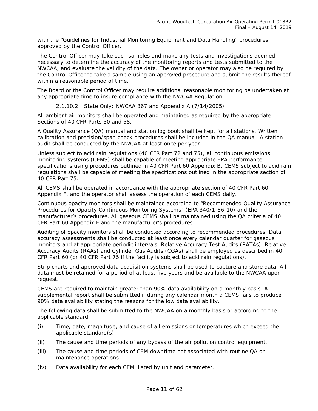with the "Guidelines for Industrial Monitoring Equipment and Data Handling" procedures approved by the Control Officer.

The Control Officer may take such samples and make any tests and investigations deemed necessary to determine the accuracy of the monitoring reports and tests submitted to the NWCAA, and evaluate the validity of the data. The owner or operator may also be required by the Control Officer to take a sample using an approved procedure and submit the results thereof within a reasonable period of time.

The Board or the Control Officer may require additional reasonable monitoring be undertaken at any appropriate time to insure compliance with the NWCAA Regulation.

## *2.1.10.2 State Only: NWCAA 367 and Appendix A (7/14/2005)*

All ambient air monitors shall be operated and maintained as required by the appropriate Sections of 40 CFR Parts 50 and 58.

A Quality Assurance (QA) manual and station log book shall be kept for all stations. Written calibration and precision/span check procedures shall be included in the QA manual. A station audit shall be conducted by the NWCAA at least once per year.

Unless subject to acid rain regulations (40 CFR Part 72 and 75), all continuous emissions monitoring systems (CEMS) shall be capable of meeting appropriate EPA performance specifications using procedures outlined in 40 CFR Part 60 Appendix B. CEMS subject to acid rain regulations shall be capable of meeting the specifications outlined in the appropriate section of 40 CFR Part 75.

All CEMS shall be operated in accordance with the appropriate section of 40 CFR Part 60 Appendix F, and the operator shall assess the operation of each CEMS daily.

Continuous opacity monitors shall be maintained according to "Recommended Quality Assurance Procedures for Opacity Continuous Monitoring Systems" (EPA 340/1-86-10) and the manufacturer's procedures. All gaseous CEMS shall be maintained using the QA criteria of 40 CFR Part 60 Appendix F and the manufacturer's procedures.

Auditing of opacity monitors shall be conducted according to recommended procedures. Data accuracy assessments shall be conducted at least once every calendar quarter for gaseous monitors and at appropriate periodic intervals. Relative Accuracy Test Audits (RATAs), Relative Accuracy Audits (RAAs) and Cylinder Gas Audits (CGAs) shall be employed as described in 40 CFR Part 60 (or 40 CFR Part 75 if the facility is subject to acid rain regulations).

Strip charts and approved data acquisition systems shall be used to capture and store data. All data must be retained for a period of at least five years and be available to the NWCAA upon request.

CEMS are required to maintain greater than 90% data availability on a monthly basis. A supplemental report shall be submitted if during any calendar month a CEMS fails to produce 90% data availability stating the reasons for the low data availability.

The following data shall be submitted to the NWCAA on a monthly basis or according to the applicable standard:

- (i) Time, date, magnitude, and cause of all emissions or temperatures which exceed the applicable standard(s).
- (ii) The cause and time periods of any bypass of the air pollution control equipment.
- (iii) The cause and time periods of CEM downtime not associated with routine QA or maintenance operations.
- (iv) Data availability for each CEM, listed by unit and parameter.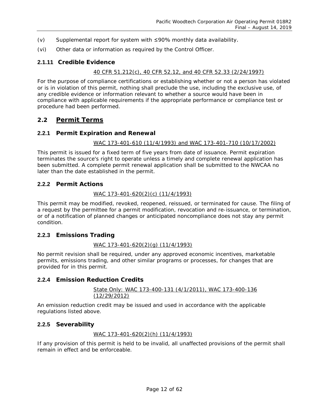- (v) Supplemental report for system with ≤90% monthly data availability.
- (vi) Other data or information as required by the Control Officer.

## **2.1.11 Credible Evidence**

## *40 CFR 51.212(c), 40 CFR 52.12, and 40 CFR 52.33 (2/24/1997)*

For the purpose of compliance certifications or establishing whether or not a person has violated or is in violation of this permit, nothing shall preclude the use, including the exclusive use, of any credible evidence or information relevant to whether a source would have been in compliance with applicable requirements if the appropriate performance or compliance test or procedure had been performed.

## <span id="page-11-0"></span>**2.2 Permit Terms**

## **2.2.1 Permit Expiration and Renewal**

#### *WAC 173-401-610 (11/4/1993) and WAC 173-401-710 (10/17/2002)*

This permit is issued for a fixed term of five years from date of issuance. Permit expiration terminates the source's right to operate unless a timely and complete renewal application has been submitted. A complete permit renewal application shall be submitted to the NWCAA no later than the date established in the permit.

## **2.2.2 Permit Actions**

## *WAC 173-401-620(2)(c) (11/4/1993)*

This permit may be modified, revoked, reopened, reissued, or terminated for cause. The filing of a request by the permittee for a permit modification, revocation and re-issuance, or termination, or of a notification of planned changes or anticipated noncompliance does not stay any permit condition.

## **2.2.3 Emissions Trading**

## *WAC 173-401-620(2)(g) (11/4/1993)*

No permit revision shall be required, under any approved economic incentives, marketable permits, emissions trading, and other similar programs or processes, for changes that are provided for in this permit.

## **2.2.4 Emission Reduction Credits**

#### *State Only: WAC 173-400-131 (4/1/2011), WAC 173-400-136 (12/29/2012)*

An emission reduction credit may be issued and used in accordance with the applicable regulations listed above.

## **2.2.5 Severability**

## *WAC 173-401-620(2)(h) (11/4/1993)*

If any provision of this permit is held to be invalid, all unaffected provisions of the permit shall remain in effect and be enforceable.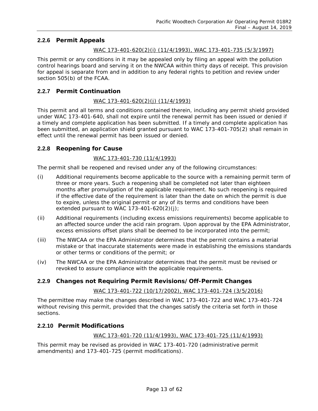## **2.2.6 Permit Appeals**

## *WAC 173-401-620(2)(i) (11/4/1993), WAC 173-401-735 (5/3/1997)*

This permit or any conditions in it may be appealed only by filing an appeal with the pollution control hearings board and serving it on the NWCAA within thirty days of receipt. This provision for appeal is separate from and in addition to any federal rights to petition and review under section 505(b) of the FCAA.

## **2.2.7 Permit Continuation**

## *WAC 173-401-620(2)(j) (11/4/1993)*

This permit and all terms and conditions contained therein, including any permit shield provided under WAC 173-401-640, shall not expire until the renewal permit has been issued or denied if a timely and complete application has been submitted. If a timely and complete application has been submitted, an application shield granted pursuant to WAC 173-401-705(2) shall remain in effect until the renewal permit has been issued or denied.

## **2.2.8 Reopening for Cause**

## *WAC 173-401-730 (11/4/1993)*

The permit shall be reopened and revised under any of the following circumstances:

- (i) Additional requirements become applicable to the source with a remaining permit term of three or more years. Such a reopening shall be completed not later than eighteen months after promulgation of the applicable requirement. No such reopening is required if the effective date of the requirement is later than the date on which the permit is due to expire, unless the original permit or any of its terms and conditions have been extended pursuant to WAC 173-401-620(2)(j);
- (ii) Additional requirements (including excess emissions requirements) become applicable to an affected source under the acid rain program. Upon approval by the EPA Administrator, excess emissions offset plans shall be deemed to be incorporated into the permit;
- (iii) The NWCAA or the EPA Administrator determines that the permit contains a material mistake or that inaccurate statements were made in establishing the emissions standards or other terms or conditions of the permit; or
- (iv) The NWCAA or the EPA Administrator determines that the permit must be revised or revoked to assure compliance with the applicable requirements.

## **2.2.9 Changes not Requiring Permit Revisions/Off-Permit Changes**

## *WAC 173-401-722 (10/17/2002), WAC 173-401-724 (3/5/2016)*

The permittee may make the changes described in WAC 173-401-722 and WAC 173-401-724 without revising this permit, provided that the changes satisfy the criteria set forth in those sections.

## **2.2.10 Permit Modifications**

*WAC 173-401-720 (11/4/1993), WAC 173-401-725 (11/4/1993)*

This permit may be revised as provided in WAC 173-401-720 (administrative permit amendments) and 173-401-725 (permit modifications).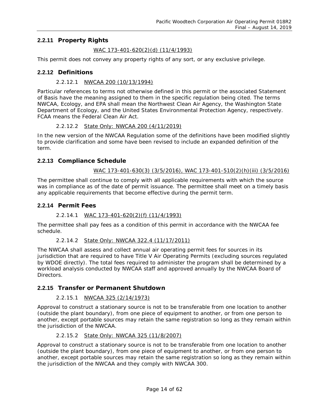## **2.2.11 Property Rights**

## *WAC 173-401-620(2)(d) (11/4/1993)*

This permit does not convey any property rights of any sort, or any exclusive privilege.

## **2.2.12 Definitions**

## *2.2.12.1 NWCAA 200 (10/13/1994)*

Particular references to terms not otherwise defined in this permit or the associated Statement of Basis have the meaning assigned to them in the specific regulation being cited. The terms NWCAA, Ecology, and EPA shall mean the Northwest Clean Air Agency, the Washington State Department of Ecology, and the United States Environmental Protection Agency, respectively. FCAA means the Federal Clean Air Act.

## *2.2.12.2 State Only: NWCAA 200 (4/11/2019)*

In the new version of the NWCAA Regulation some of the definitions have been modified slightly to provide clarification and some have been revised to include an expanded definition of the term.

## **2.2.13 Compliance Schedule**

## *WAC 173-401-630(3) (3/5/2016), WAC 173-401-510(2)(h)(iii) (3/5/2016)*

The permittee shall continue to comply with all applicable requirements with which the source was in compliance as of the date of permit issuance. The permittee shall meet on a timely basis any applicable requirements that become effective during the permit term.

## **2.2.14 Permit Fees**

## *2.2.14.1 WAC 173-401-620(2)(f) (11/4/1993)*

The permittee shall pay fees as a condition of this permit in accordance with the NWCAA fee schedule.

## *2.2.14.2 State Only: NWCAA 322.4 (11/17/2011)*

The NWCAA shall assess and collect annual air operating permit fees for sources in its jurisdiction that are required to have Title V Air Operating Permits (excluding sources regulated by WDOE directly). The total fees required to administer the program shall be determined by a workload analysis conducted by NWCAA staff and approved annually by the NWCAA Board of Directors.

## **2.2.15 Transfer or Permanent Shutdown**

## *2.2.15.1 NWCAA 325 (2/14/1973)*

Approval to construct a stationary source is not to be transferable from one location to another (outside the plant boundary), from one piece of equipment to another, or from one person to another, except portable sources may retain the same registration so long as they remain within the jurisdiction of the NWCAA.

## *2.2.15.2 State Only: NWCAA 325 (11/8/2007)*

Approval to construct a stationary source is not to be transferable from one location to another (outside the plant boundary), from one piece of equipment to another, or from one person to another, except portable sources may retain the same registration so long as they remain within the jurisdiction of the NWCAA and they comply with NWCAA 300.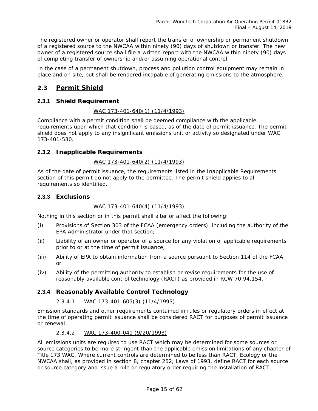The registered owner or operator shall report the transfer of ownership or permanent shutdown of a registered source to the NWCAA within ninety (90) days of shutdown or transfer. The new owner of a registered source shall file a written report with the NWCAA within ninety (90) days of completing transfer of ownership and/or assuming operational control.

In the case of a permanent shutdown, process and pollution control equipment may remain in place and on site, but shall be rendered incapable of generating emissions to the atmosphere.

## <span id="page-14-0"></span>**2.3 Permit Shield**

## **2.3.1 Shield Requirement**

## *WAC 173-401-640(1) (11/4/1993)*

Compliance with a permit condition shall be deemed compliance with the applicable requirements upon which that condition is based, as of the date of permit issuance. The permit shield does not apply to any insignificant emissions unit or activity so designated under WAC 173-401-530.

## **2.3.2 Inapplicable Requirements**

## *WAC 173-401-640(2) (11/4/1993)*

As of the date of permit issuance, the requirements listed in the Inapplicable Requirements section of this permit do not apply to the permittee. The permit shield applies to all requirements so identified.

## **2.3.3 Exclusions**

## *WAC 173-401-640(4) (11/4/1993)*

Nothing in this section or in this permit shall alter or affect the following:

- (i) Provisions of Section 303 of the FCAA (emergency orders), including the authority of the EPA Administrator under that section;
- (ii) Liability of an owner or operator of a source for any violation of applicable requirements prior to or at the time of permit issuance;
- (iii) Ability of EPA to obtain information from a source pursuant to Section 114 of the FCAA; or
- (iv) Ability of the permitting authority to establish or revise requirements for the use of reasonably available control technology (RACT) as provided in RCW 70.94.154.

## **2.3.4 Reasonably Available Control Technology**

## *2.3.4.1 WAC 173-401-605(3) (11/4/1993)*

Emission standards and other requirements contained in rules or regulatory orders in effect at the time of operating permit issuance shall be considered RACT for purposes of permit issuance or renewal.

## *2.3.4.2 WAC 173-400-040 (9/20/1993)*

All emissions units are required to use RACT which may be determined for some sources or source categories to be more stringent than the applicable emission limitations of any chapter of Title 173 WAC. Where current controls are determined to be less than RACT, Ecology or the NWCAA shall, as provided in section 8, chapter 252, Laws of 1993, define RACT for each source or source category and issue a rule or regulatory order requiring the installation of RACT.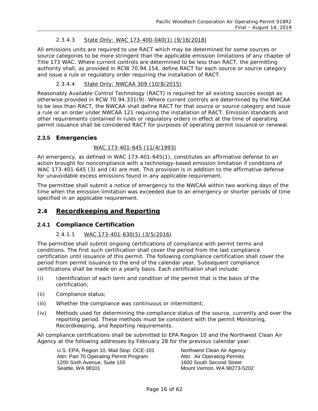## *2.3.4.3 State Only: WAC 173-400-040(1) (9/16/2018)*

All emissions units are required to use RACT which may be determined for some sources or source categories to be more stringent than the applicable emission limitations of any chapter of Title 173 WAC. Where current controls are determined to be less than RACT, the permitting authority shall, as provided in RCW 70.94.154, define RACT for each source or source category and issue a rule or regulatory order requiring the installation of RACT.

## *2.3.4.4 State Only: NWCAA 309 (10/8/2015)*

Reasonably Available Control Technology (RACT) is required for all existing sources except as otherwise provided in RCW 70.94.331(9). Where current controls are determined by the NWCAA to be less than RACT, the NWCAA shall define RACT for that source or source category and issue a rule or an order under NWCAA 121 requiring the installation of RACT. Emission standards and other requirements contained in rules or regulatory orders in effect at the time of operating permit issuance shall be considered RACT for purposes of operating permit issuance or renewal.

## **2.3.5 Emergencies**

## *WAC 173-401-645 (11/4/1993)*

An emergency, as defined in WAC 173-401-645(1), constitutes an affirmative defense to an action brought for noncompliance with a technology-based emission limitation if conditions of WAC 173-401-645 (3) and (4) are met. This provision is in addition to the affirmative defense for unavoidable excess emissions found in any applicable requirement.

The permittee shall submit a notice of emergency to the NWCAA within two working days of the time when the emission limitation was exceeded due to an emergency or shorter periods of time specified in an applicable requirement.

## <span id="page-15-0"></span>**2.4 Recordkeeping and Reporting**

## **2.4.1 Compliance Certification**

## *2.4.1.1 WAC 173-401-630(5) (3/5/2016)*

The permittee shall submit ongoing certifications of compliance with permit terms and conditions. The first such certification shall cover the period from the last compliance certification until issuance of this permit. The following compliance certification shall cover the period from permit issuance to the end of the calendar year. Subsequent compliance certifications shall be made on a yearly basis. Each certification shall include:

- (i) Identification of each term and condition of the permit that is the basis of the certification;
- (ii) Compliance status;
- (iii) Whether the compliance was continuous or intermittent;
- (iv) Methods used for determining the compliance status of the source, currently and over the reporting period. These methods must be consistent with the permit Monitoring, Recordkeeping, and Reporting requirements.

All compliance certifications shall be submitted to EPA Region 10 and the Northwest Clean Air Agency at the following addresses by February 28 for the previous calendar year:

U.S. EPA, Region 10, Mail Stop: OCE-101 Northwest Clean Air Agency Attn: Part 70 Operating Permit Program Attn: Air Operating Permits<br>1200 Sixth Avenue, Suite 155 1600 South Second Street 1200 Sixth Avenue, Suite 155 Seattle, WA 98101 Mount Vernon, WA 98273-5202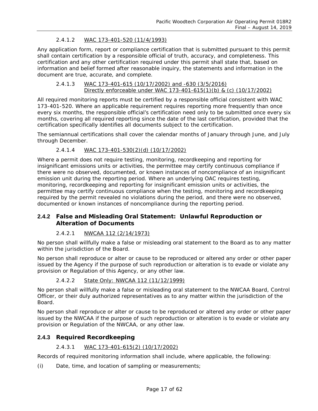## *2.4.1.2 WAC 173-401-520 (11/4/1993)*

Any application form, report or compliance certification that is submitted pursuant to this permit shall contain certification by a responsible official of truth, accuracy, and completeness. This certification and any other certification required under this permit shall state that, based on information and belief formed after reasonable inquiry, the statements and information in the document are true, accurate, and complete.

#### *2.4.1.3 WAC 173-401-615 (10/17/2002) and -630 (3/5/2016) Directly enforceable under WAC 173-401-615(1)(b) & (c) (10/17/2002)*

All required monitoring reports must be certified by a responsible official consistent with WAC 173-401-520. Where an applicable requirement requires reporting more frequently than once every six months, the responsible official's certification need only to be submitted once every six months, covering all required reporting since the date of the last certification, provided that the certification specifically identifies all documents subject to the certification.

The semiannual certifications shall cover the calendar months of January through June, and July through December.

## *2.4.1.4 WAC 173-401-530(2)(d) (10/17/2002)*

Where a permit does not require testing, monitoring, recordkeeping and reporting for insignificant emissions units or activities, the permittee may certify continuous compliance if there were no observed, documented, or known instances of noncompliance of an insignificant emission unit during the reporting period. Where an underlying OAC requires testing, monitoring, recordkeeping and reporting for insignificant emission units or activities, the permittee may certify continuous compliance when the testing, monitoring and recordkeeping required by the permit revealed no violations during the period, and there were no observed, documented or known instances of noncompliance during the reporting period.

## **2.4.2 False and Misleading Oral Statement: Unlawful Reproduction or Alteration of Documents**

## *2.4.2.1 NWCAA 112 (2/14/1973)*

No person shall willfully make a false or misleading oral statement to the Board as to any matter within the jurisdiction of the Board.

No person shall reproduce or alter or cause to be reproduced or altered any order or other paper issued by the Agency if the purpose of such reproduction or alteration is to evade or violate any provision or Regulation of this Agency, or any other law.

#### *2.4.2.2 State Only: NWCAA 112 (11/12/1999)*

No person shall willfully make a false or misleading oral statement to the NWCAA Board, Control Officer, or their duly authorized representatives as to any matter within the jurisdiction of the Board.

No person shall reproduce or alter or cause to be reproduced or altered any order or other paper issued by the NWCAA if the purpose of such reproduction or alteration is to evade or violate any provision or Regulation of the NWCAA, or any other law.

## **2.4.3 Required Recordkeeping**

## *2.4.3.1 WAC 173-401-615(2) (10/17/2002)*

Records of required monitoring information shall include, where applicable, the following:

(i) Date, time, and location of sampling or measurements;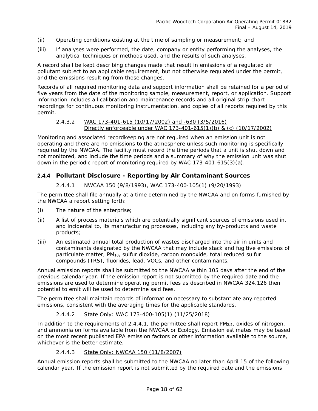- (ii) Operating conditions existing at the time of sampling or measurement; and
- (iii) If analyses were performed, the date, company or entity performing the analyses, the analytical techniques or methods used, and the results of such analyses.

A record shall be kept describing changes made that result in emissions of a regulated air pollutant subject to an applicable requirement, but not otherwise regulated under the permit, and the emissions resulting from those changes.

<span id="page-17-1"></span>Records of all required monitoring data and support information shall be retained for a period of five years from the date of the monitoring sample, measurement, report, or application. Support information includes all calibration and maintenance records and all original strip-chart recordings for continuous monitoring instrumentation, and copies of all reports required by this permit.

#### *2.4.3.2 WAC 173-401-615 (10/17/2002) and -630 (3/5/2016) Directly enforceable under WAC 173-401-615(1)(b) & (c) (10/17/2002)*

Monitoring and associated recordkeeping are not required when an emission unit is not operating and there are no emissions to the atmosphere unless such monitoring is specifically required by the NWCAA. The facility must record the time periods that a unit is shut down and not monitored, and include the time periods and a summary of why the emission unit was shut down in the periodic report of monitoring required by WAC 173-401-615(3)(a).

## <span id="page-17-0"></span>**2.4.4 Pollutant Disclosure - Reporting by Air Contaminant Sources**

## *2.4.4.1 NWCAA 150 (9/8/1993), WAC 173-400-105(1) (9/20/1993)*

The permittee shall file annually at a time determined by the NWCAA and on forms furnished by the NWCAA a report setting forth:

- (i) The nature of the enterprise;
- (ii) A list of process materials which are potentially significant sources of emissions used in, and incidental to, its manufacturing processes, including any by-products and waste products;
- (iii) An estimated annual total production of wastes discharged into the air in units and contaminants designated by the NWCAA that may include stack and fugitive emissions of particulate matter, PM10, sulfur dioxide, carbon monoxide, total reduced sulfur compounds (TRS), fluorides, lead, VOCs, and other contaminants.

Annual emission reports shall be submitted to the NWCAA within 105 days after the end of the previous calendar year. If the emission report is not submitted by the required date and the emissions are used to determine operating permit fees as described in NWCAA 324.126 then potential to emit will be used to determine said fees.

The permittee shall maintain records of information necessary to substantiate any reported emissions, consistent with the averaging times for the applicable standards.

#### *2.4.4.2 State Only: WAC 173-400-105(1) (11/25/2018)*

In addition to the requirements of [2.4.4.1,](#page-17-0) the permittee shall report PM<sub>2.5</sub>, oxides of nitrogen, and ammonia on forms available from the NWCAA or Ecology. Emission estimates may be based on the most recent published EPA emission factors or other information available to the source, whichever is the better estimate.

#### *2.4.4.3 State Only: NWCAA 150 (11/8/2007)*

Annual emission reports shall be submitted to the NWCAA no later than April 15 of the following calendar year. If the emission report is not submitted by the required date and the emissions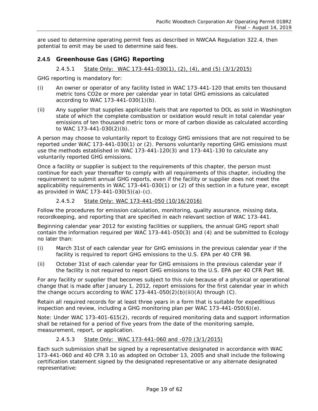are used to determine operating permit fees as described in NWCAA Regulation 322.4, then potential to emit may be used to determine said fees.

## **2.4.5 Greenhouse Gas (GHG) Reporting**

## *2.4.5.1 State Only: WAC 173-441-030(1), (2), (4), and (5) (3/1/2015)*

GHG reporting is mandatory for:

- (i) An owner or operator of any facility listed in WAC 173-441-120 that emits ten thousand metric tons CO2e or more per calendar year in total GHG emissions as calculated according to WAC 173-441-030(1)(b).
- (ii) Any supplier that supplies applicable fuels that are reported to DOL as sold in Washington state of which the complete combustion or oxidation would result in total calendar year emissions of ten thousand metric tons or more of carbon dioxide as calculated according to WAC 173-441-030(2)(b).

A person may choose to voluntarily report to Ecology GHG emissions that are not required to be reported under WAC 173-441-030(1) or (2). Persons voluntarily reporting GHG emissions must use the methods established in WAC 173-441-120(3) and 173-441-130 to calculate any voluntarily reported GHG emissions.

Once a facility or supplier is subject to the requirements of this chapter, the person must continue for each year thereafter to comply with all requirements of this chapter, including the requirement to submit annual GHG reports, even if the facility or supplier does not meet the applicability requirements in WAC 173-441-030(1) or (2) of this section in a future year, except as provided in WAC 173-441-030(5)(a)-(c).

## *2.4.5.2 State Only: WAC 173-441-050 (10/16/2016)*

Follow the procedures for emission calculation, monitoring, quality assurance, missing data, recordkeeping, and reporting that are specified in each relevant section of WAC 173-441.

Beginning calendar year 2012 for existing facilities or suppliers, the annual GHG report shall contain the information required per WAC 173-441-050(3) and (4) and be submitted to Ecology no later than:

- (i) March 31st of each calendar year for GHG emissions in the previous calendar year if the facility is required to report GHG emissions to the U.S. EPA per 40 CFR 98.
- (ii) October 31st of each calendar year for GHG emissions in the previous calendar year if the facility is not required to report GHG emissions to the U.S. EPA per 40 CFR Part 98.

For any facility or supplier that becomes subject to this rule because of a physical or operational change that is made after January 1, 2012, report emissions for the first calendar year in which the change occurs according to WAC  $173-441-050(2)(b)(iii)(A)$  through  $(C)$ .

Retain all required records for at least three years in a form that is suitable for expeditious inspection and review, including a GHG monitoring plan per WAC  $173-441-050(6)(e)$ .

Note: Under WAC 173-401-615(2), records of required monitoring data and support information shall be retained for a period of five years from the date of the monitoring sample, measurement, report, or application.

## *2.4.5.3 State Only: WAC 173-441-060 and -070 (3/1/2015)*

Each such submission shall be signed by a representative designated in accordance with WAC 173-441-060 and 40 CFR 3.10 as adopted on October 13, 2005 and shall include the following certification statement signed by the designated representative or any alternate designated representative: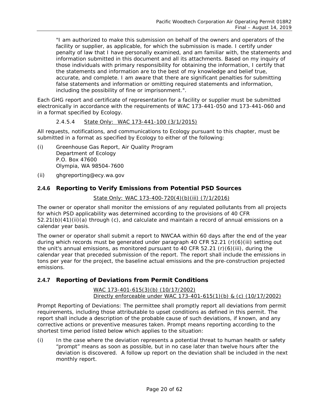"I am authorized to make this submission on behalf of the owners and operators of the facility or supplier, as applicable, for which the submission is made. I certify under penalty of law that I have personally examined, and am familiar with, the statements and information submitted in this document and all its attachments. Based on my inquiry of those individuals with primary responsibility for obtaining the information, I certify that the statements and information are to the best of my knowledge and belief true, accurate, and complete. I am aware that there are significant penalties for submitting false statements and information or omitting required statements and information, including the possibility of fine or imprisonment.".

Each GHG report and certificate of representation for a facility or supplier must be submitted electronically in accordance with the requirements of WAC 173-441-050 and 173-441-060 and in a format specified by Ecology.

## *2.4.5.4 State Only: WAC 173-441-100 (3/1/2015)*

All requests, notifications, and communications to Ecology pursuant to this chapter, must be submitted in a format as specified by Ecology to either of the following:

- (i) Greenhouse Gas Report, Air Quality Program Department of Ecology P.O. Box 47600 Olympia, WA 98504-7600
- (ii) ghgreporting@ecy.wa.gov

## **2.4.6 Reporting to Verify Emissions from Potential PSD Sources**

## *State Only: WAC 173-400-720(4)(b)(iii) (7/1/2016)*

The owner or operator shall monitor the emissions of any regulated pollutants from all projects for which PSD applicability was determined according to the provisions of 40 CFR 52.21(b)(41)(ii)(a) through (c), and calculate and maintain a record of annual emissions on a calendar year basis.

The owner or operator shall submit a report to NWCAA within 60 days after the end of the year during which records must be generated under paragraph 40 CFR 52.21 (r)(6)(iii) setting out the unit's annual emissions, as monitored pursuant to 40 CFR 52.21 (r)(6)(iii), during the calendar year that preceded submission of the report. The report shall include the emissions in tons per year for the project, the baseline actual emissions and the pre-construction projected emissions.

## **2.4.7 Reporting of Deviations from Permit Conditions**

#### *WAC 173-401-615(3)(b) (10/17/2002) Directly enforceable under WAC 173-401-615(1)(b) & (c) (10/17/2002)*

Prompt Reporting of Deviations: The permittee shall promptly report all deviations from permit requirements, including those attributable to upset conditions as defined in this permit. The report shall include a description of the probable cause of such deviations, if known, and any corrective actions or preventive measures taken. Prompt means reporting according to the shortest time period listed below which applies to the situation:

(i) In the case where the deviation represents a potential threat to human health or safety "prompt" means as soon as possible, but in no case later than twelve hours after the deviation is discovered. A follow up report on the deviation shall be included in the next monthly report.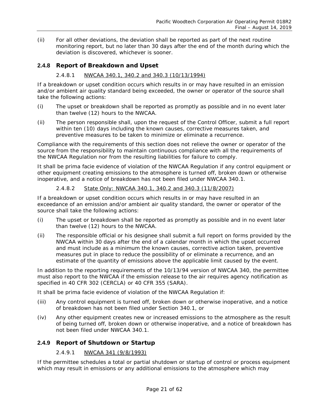(ii) For all other deviations, the deviation shall be reported as part of the next routine monitoring report, but no later than 30 days after the end of the month during which the deviation is discovered, whichever is sooner.

## **2.4.8 Report of Breakdown and Upset**

## *2.4.8.1 NWCAA 340.1, 340.2 and 340.3 (10/13/1994)*

If a breakdown or upset condition occurs which results in or may have resulted in an emission and/or ambient air quality standard being exceeded, the owner or operator of the source shall take the following actions:

- (i) The upset or breakdown shall be reported as promptly as possible and in no event later than twelve (12) hours to the NWCAA.
- (ii) The person responsible shall, upon the request of the Control Officer, submit a full report within ten (10) days including the known causes, corrective measures taken, and preventive measures to be taken to minimize or eliminate a recurrence.

Compliance with the requirements of this section does not relieve the owner or operator of the source from the responsibility to maintain continuous compliance with all the requirements of the NWCAA Regulation nor from the resulting liabilities for failure to comply.

It shall be prima facie evidence of violation of the NWCAA Regulation if any control equipment or other equipment creating emissions to the atmosphere is turned off, broken down or otherwise inoperative, and a notice of breakdown has not been filed under NWCAA 340.1.

## *2.4.8.2 State Only: NWCAA 340.1, 340.2 and 340.3 (11/8/2007)*

If a breakdown or upset condition occurs which results in or may have resulted in an exceedance of an emission and/or ambient air quality standard, the owner or operator of the source shall take the following actions:

- (i) The upset or breakdown shall be reported as promptly as possible and in no event later than twelve (12) hours to the NWCAA.
- (ii) The responsible official or his designee shall submit a full report on forms provided by the NWCAA within 30 days after the end of a calendar month in which the upset occurred and must include as a minimum the known causes, corrective action taken, preventive measures put in place to reduce the possibility of or eliminate a recurrence, and an estimate of the quantity of emissions above the applicable limit caused by the event.

In addition to the reporting requirements of the 10/13/94 version of NWCAA 340, the permittee must also report to the NWCAA if the emission release to the air requires agency notification as specified in 40 CFR 302 (CERCLA) or 40 CFR 355 (SARA).

It shall be prima facie evidence of violation of the NWCAA Regulation if:

- (iii) Any control equipment is turned off, broken down or otherwise inoperative, and a notice of breakdown has not been filed under Section 340.1, or
- (iv) Any other equipment creates new or increased emissions to the atmosphere as the result of being turned off, broken down or otherwise inoperative, and a notice of breakdown has not been filed under NWCAA 340.1.

## **2.4.9 Report of Shutdown or Startup**

## *2.4.9.1 NWCAA 341 (9/8/1993)*

If the permittee schedules a total or partial shutdown or startup of control or process equipment which may result in emissions or any additional emissions to the atmosphere which may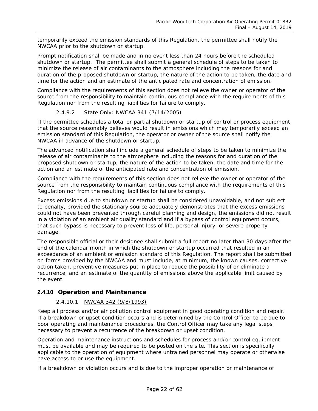temporarily exceed the emission standards of this Regulation, the permittee shall notify the NWCAA prior to the shutdown or startup.

Prompt notification shall be made and in no event less than 24 hours before the scheduled shutdown or startup. The permittee shall submit a general schedule of steps to be taken to minimize the release of air contaminants to the atmosphere including the reasons for and duration of the proposed shutdown or startup, the nature of the action to be taken, the date and time for the action and an estimate of the anticipated rate and concentration of emission.

Compliance with the requirements of this section does not relieve the owner or operator of the source from the responsibility to maintain continuous compliance with the requirements of this Regulation nor from the resulting liabilities for failure to comply.

## *2.4.9.2 State Only: NWCAA 341 (7/14/2005)*

If the permittee schedules a total or partial shutdown or startup of control or process equipment that the source reasonably believes would result in emissions which may temporarily exceed an emission standard of this Regulation, the operator or owner of the source shall notify the NWCAA in advance of the shutdown or startup.

The advanced notification shall include a general schedule of steps to be taken to minimize the release of air contaminants to the atmosphere including the reasons for and duration of the proposed shutdown or startup, the nature of the action to be taken, the date and time for the action and an estimate of the anticipated rate and concentration of emission.

Compliance with the requirements of this section does not relieve the owner or operator of the source from the responsibility to maintain continuous compliance with the requirements of this Regulation nor from the resulting liabilities for failure to comply.

Excess emissions due to shutdown or startup shall be considered unavoidable, and not subject to penalty, provided the stationary source adequately demonstrates that the excess emissions could not have been prevented through careful planning and design, the emissions did not result in a violation of an ambient air quality standard and if a bypass of control equipment occurs, that such bypass is necessary to prevent loss of life, personal injury, or severe property damage.

The responsible official or their designee shall submit a full report no later than 30 days after the end of the calendar month in which the shutdown or startup occurred that resulted in an exceedance of an ambient or emission standard of this Regulation. The report shall be submitted on forms provided by the NWCAA and must include, at minimum, the known causes, corrective action taken, preventive measures put in place to reduce the possibility of or eliminate a recurrence, and an estimate of the quantity of emissions above the applicable limit caused by the event.

## **2.4.10 Operation and Maintenance**

## *2.4.10.1 NWCAA 342 (9/8/1993)*

Keep all process and/or air pollution control equipment in good operating condition and repair. If a breakdown or upset condition occurs and is determined by the Control Officer to be due to poor operating and maintenance procedures, the Control Officer may take any legal steps necessary to prevent a recurrence of the breakdown or upset condition.

Operation and maintenance instructions and schedules for process and/or control equipment must be available and may be required to be posted on the site. This section is specifically applicable to the operation of equipment where untrained personnel may operate or otherwise have access to or use the equipment.

If a breakdown or violation occurs and is due to the improper operation or maintenance of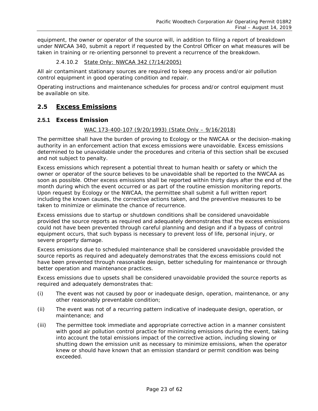equipment, the owner or operator of the source will, in addition to filing a report of breakdown under NWCAA 340, submit a report if requested by the Control Officer on what measures will be taken in training or re-orienting personnel to prevent a recurrence of the breakdown.

## *2.4.10.2 State Only: NWCAA 342 (7/14/2005)*

All air contaminant stationary sources are required to keep any process and/or air pollution control equipment in good operating condition and repair.

Operating instructions and maintenance schedules for process and/or control equipment must be available on site.

## <span id="page-22-0"></span>**2.5 Excess Emissions**

## **2.5.1 Excess Emission**

## *WAC 173-400-107 (9/20/1993) (State Only – 9/16/2018)*

The permittee shall have the burden of proving to Ecology or the NWCAA or the decision-making authority in an enforcement action that excess emissions were unavoidable. Excess emissions determined to be unavoidable under the procedures and criteria of this section shall be excused and not subject to penalty.

Excess emissions which represent a potential threat to human health or safety or which the owner or operator of the source believes to be unavoidable shall be reported to the NWCAA as soon as possible. Other excess emissions shall be reported within thirty days after the end of the month during which the event occurred or as part of the routine emission monitoring reports. Upon request by Ecology or the NWCAA, the permittee shall submit a full written report including the known causes, the corrective actions taken, and the preventive measures to be taken to minimize or eliminate the chance of recurrence.

Excess emissions due to startup or shutdown conditions shall be considered unavoidable provided the source reports as required and adequately demonstrates that the excess emissions could not have been prevented through careful planning and design and if a bypass of control equipment occurs, that such bypass is necessary to prevent loss of life, personal injury, or severe property damage.

Excess emissions due to scheduled maintenance shall be considered unavoidable provided the source reports as required and adequately demonstrates that the excess emissions could not have been prevented through reasonable design, better scheduling for maintenance or through better operation and maintenance practices.

Excess emissions due to upsets shall be considered unavoidable provided the source reports as required and adequately demonstrates that:

- (i) The event was not caused by poor or inadequate design, operation, maintenance, or any other reasonably preventable condition;
- (ii) The event was not of a recurring pattern indicative of inadequate design, operation, or maintenance; and
- (iii) The permittee took immediate and appropriate corrective action in a manner consistent with good air pollution control practice for minimizing emissions during the event, taking into account the total emissions impact of the corrective action, including slowing or shutting down the emission unit as necessary to minimize emissions, when the operator knew or should have known that an emission standard or permit condition was being exceeded.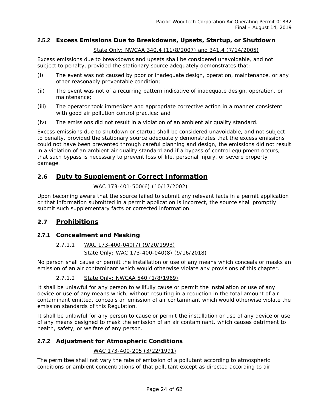## **2.5.2 Excess Emissions Due to Breakdowns, Upsets, Startup, or Shutdown**

*State Only: NWCAA 340.4 (11/8/2007) and 341.4 (7/14/2005)*

Excess emissions due to breakdowns and upsets shall be considered unavoidable, and not subject to penalty, provided the stationary source adequately demonstrates that:

- (i) The event was not caused by poor or inadequate design, operation, maintenance, or any other reasonably preventable condition;
- (ii) The event was not of a recurring pattern indicative of inadequate design, operation, or maintenance;
- (iii) The operator took immediate and appropriate corrective action in a manner consistent with good air pollution control practice; and
- (iv) The emissions did not result in a violation of an ambient air quality standard.

Excess emissions due to shutdown or startup shall be considered unavoidable, and not subject to penalty, provided the stationary source adequately demonstrates that the excess emissions could not have been prevented through careful planning and design, the emissions did not result in a violation of an ambient air quality standard and if a bypass of control equipment occurs, that such bypass is necessary to prevent loss of life, personal injury, or severe property damage.

## <span id="page-23-0"></span>**2.6 Duty to Supplement or Correct Information**

## *WAC 173-401-500(6) (10/17/2002)*

Upon becoming aware that the source failed to submit any relevant facts in a permit application or that information submitted in a permit application is incorrect, the source shall promptly submit such supplementary facts or corrected information.

## <span id="page-23-1"></span>**2.7 Prohibitions**

## **2.7.1 Concealment and Masking**

## *2.7.1.1 WAC 173-400-040(7) (9/20/1993) State Only: WAC 173-400-040(8) (9/16/2018)*

No person shall cause or permit the installation or use of any means which conceals or masks an emission of an air contaminant which would otherwise violate any provisions of this chapter.

## *2.7.1.2 State Only: NWCAA 540 (1/8/1969)*

It shall be unlawful for any person to willfully cause or permit the installation or use of any device or use of any means which, without resulting in a reduction in the total amount of air contaminant emitted, conceals an emission of air contaminant which would otherwise violate the emission standards of this Regulation.

It shall be unlawful for any person to cause or permit the installation or use of any device or use of any means designed to mask the emission of an air contaminant, which causes detriment to health, safety, or welfare of any person.

## **2.7.2 Adjustment for Atmospheric Conditions**

## *WAC 173-400-205 (3/22/1991)*

The permittee shall not vary the rate of emission of a pollutant according to atmospheric conditions or ambient concentrations of that pollutant except as directed according to air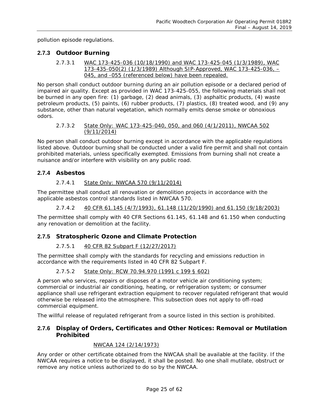pollution episode regulations.

## **2.7.3 Outdoor Burning**

*2.7.3.1 WAC 173-425-036 (10/18/1990) and WAC 173-425-045 (1/3/1989), WAC 173-435-050(2) (1/3/1989) Although SIP-Approved, WAC 173-425-036, – 045, and -055 (referenced below) have been repealed.*

No person shall conduct outdoor burning during an air pollution episode or a declared period of impaired air quality. Except as provided in WAC 173-425-055, the following materials shall not be burned in any open fire: (1) garbage, (2) dead animals, (3) asphaltic products, (4) waste petroleum products, (5) paints, (6) rubber products, (7) plastics, (8) treated wood, and (9) any substance, other than natural vegetation, which normally emits dense smoke or obnoxious odors.

## *2.7.3.2 State Only: WAC 173-425-040, 050, and 060 (4/1/2011), NWCAA 502 (9/11/2014)*

No person shall conduct outdoor burning except in accordance with the applicable regulations listed above. Outdoor burning shall be conducted under a valid fire permit and shall not contain prohibited materials, unless specifically exempted. Emissions from burning shall not create a nuisance and/or interfere with visibility on any public road.

## **2.7.4 Asbestos**

## *2.7.4.1 State Only: NWCAA 570 (9/11/2014)*

The permittee shall conduct all renovation or demolition projects in accordance with the applicable asbestos control standards listed in NWCAA 570.

*2.7.4.2 40 CFR 61.145 (4/7/1993), 61.148 (11/20/1990) and 61.150 (9/18/2003)*

The permittee shall comply with 40 CFR Sections 61.145, 61.148 and 61.150 when conducting any renovation or demolition at the facility.

## **2.7.5 Stratospheric Ozone and Climate Protection**

## *2.7.5.1 40 CFR 82 Subpart F (12/27/2017)*

The permittee shall comply with the standards for recycling and emissions reduction in accordance with the requirements listed in 40 CFR 82 Subpart F.

*2.7.5.2 State Only: RCW 70.94.970 (1991 c 199 § 602)*

A person who services, repairs or disposes of a motor vehicle air conditioning system; commercial or industrial air conditioning, heating, or refrigeration system; or consumer appliance shall use refrigerant extraction equipment to recover regulated refrigerant that would otherwise be released into the atmosphere. This subsection does not apply to off-road commercial equipment.

The willful release of regulated refrigerant from a source listed in this section is prohibited.

## **2.7.6 Display of Orders, Certificates and Other Notices: Removal or Mutilation Prohibited**

## *NWCAA 124 (2/14/1973)*

Any order or other certificate obtained from the NWCAA shall be available at the facility. If the NWCAA requires a notice to be displayed, it shall be posted. No one shall mutilate, obstruct or remove any notice unless authorized to do so by the NWCAA.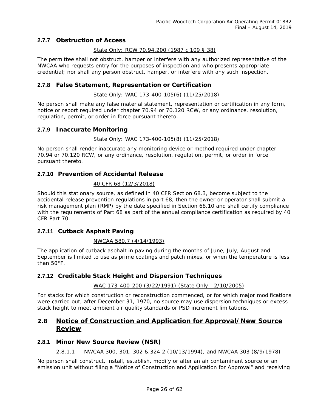## **2.7.7 Obstruction of Access**

## *State Only: RCW 70.94.200 (1987 c 109 § 38)*

The permittee shall not obstruct, hamper or interfere with any authorized representative of the NWCAA who requests entry for the purposes of inspection and who presents appropriate credential; nor shall any person obstruct, hamper, or interfere with any such inspection.

## **2.7.8 False Statement, Representation or Certification**

*State Only: WAC 173-400-105(6) (11/25/2018)*

No person shall make any false material statement, representation or certification in any form, notice or report required under chapter 70.94 or 70.120 RCW, or any ordinance, resolution, regulation, permit, or order in force pursuant thereto.

## **2.7.9 Inaccurate Monitoring**

## *State Only: WAC 173-400-105(8) (11/25/2018)*

No person shall render inaccurate any monitoring device or method required under chapter 70.94 or 70.120 RCW, or any ordinance, resolution, regulation, permit, or order in force pursuant thereto.

## **2.7.10 Prevention of Accidental Release**

#### *40 CFR 68 (12/3/2018)*

Should this stationary source, as defined in 40 CFR Section 68.3, become subject to the accidental release prevention regulations in part 68, then the owner or operator shall submit a risk management plan (RMP) by the date specified in Section 68.10 and shall certify compliance with the requirements of Part 68 as part of the annual compliance certification as required by 40 CFR Part 70.

## **2.7.11 Cutback Asphalt Paving**

## *NWCAA 580.7 (4/14/1993)*

The application of cutback asphalt in paving during the months of June, July, August and September is limited to use as prime coatings and patch mixes, or when the temperature is less than 50°F.

## **2.7.12 Creditable Stack Height and Dispersion Techniques**

## *WAC 173-400-200 (3/22/1991) (State Only - 2/10/2005)*

For stacks for which construction or reconstruction commenced, or for which major modifications were carried out, after December 31, 1970, no source may use dispersion techniques or excess stack height to meet ambient air quality standards or PSD increment limitations.

## <span id="page-25-0"></span>**2.8 Notice of Construction and Application for Approval/New Source Review**

## **2.8.1 Minor New Source Review (NSR)**

## *2.8.1.1 NWCAA 300, 301, 302 & 324.2 (10/13/1994), and NWCAA 303 (8/9/1978)*

No person shall construct, install, establish, modify or alter an air contaminant source or an emission unit without filing a "Notice of Construction and Application for Approval" and receiving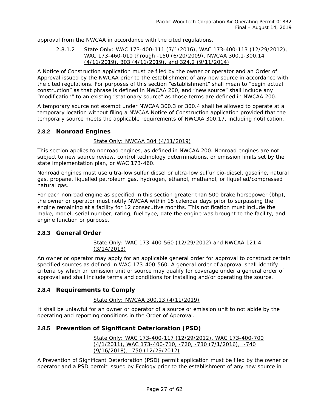approval from the NWCAA in accordance with the cited regulations.

*2.8.1.2 State Only: WAC 173-400-111 (7/1/2016), WAC 173-400-113 (12/29/2012), WAC 173-460-010 through -150 (6/20/2009), NWCAA 300.1-300.14 (4/11/2019), 303 (4/11/2019), and 324.2 (9/11/2014)*

A Notice of Construction application must be filed by the owner or operator and an Order of Approval issued by the NWCAA prior to the establishment of any new source in accordance with the cited regulations. For purposes of this section "establishment" shall mean to "begin actual construction" as that phrase is defined in NWCAA 200, and "new source" shall include any "modification" to an existing "stationary source" as those terms are defined in NWCAA 200.

A temporary source not exempt under NWCAA 300.3 or 300.4 shall be allowed to operate at a temporary location without filing a NWCAA Notice of Construction application provided that the temporary source meets the applicable requirements of NWCAA 300.17, including notification.

## **2.8.2 Nonroad Engines**

## *State Only: NWCAA 304 (4/11/2019)*

This section applies to nonroad engines, as defined in NWCAA 200. Nonroad engines are not subject to new source review, control technology determinations, or emission limits set by the state implementation plan, or WAC 173-460.

Nonroad engines must use ultra-low sulfur diesel or ultra-low sulfur bio-diesel, gasoline, natural gas, propane, liquefied petroleum gas, hydrogen, ethanol, methanol, or liquefied/compressed natural gas.

For each nonroad engine as specified in this section greater than 500 brake horsepower (bhp), the owner or operator must notify NWCAA within 15 calendar days prior to surpassing the engine remaining at a facility for 12 consecutive months. This notification must include the make, model, serial number, rating, fuel type, date the engine was brought to the facility, and engine function or purpose.

## **2.8.3 General Order**

*State Only: WAC 173-400-560 (12/29/2012) and NWCAA 121.4 (3/14/2013)*

An owner or operator may apply for an applicable general order for approval to construct certain specified sources as defined in WAC 173-400-560. A general order of approval shall identify criteria by which an emission unit or source may qualify for coverage under a general order of approval and shall include terms and conditions for installing and/or operating the source.

## **2.8.4 Requirements to Comply**

## *State Only: NWCAA 300.13 (4/11/2019)*

It shall be unlawful for an owner or operator of a source or emission unit to not abide by the operating and reporting conditions in the Order of Approval.

## **2.8.5 Prevention of Significant Deterioration (PSD)**

*State Only: WAC 173-400-117 (12/29/2012), WAC 173-400-700 (4/1/2011), WAC 173-400-710, -720, -730 (7/1/2016), -740 (9/16/2018), -750 (12/29/2012)* 

A Prevention of Significant Deterioration (PSD) permit application must be filed by the owner or operator and a PSD permit issued by Ecology prior to the establishment of any new source in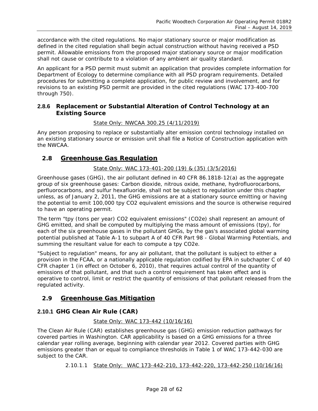accordance with the cited regulations. No major stationary source or major modification as defined in the cited regulation shall begin actual construction without having received a PSD permit. Allowable emissions from the proposed major stationary source or major modification shall not cause or contribute to a violation of any ambient air quality standard.

An applicant for a PSD permit must submit an application that provides complete information for Department of Ecology to determine compliance with all PSD program requirements. Detailed procedures for submitting a complete application, for public review and involvement, and for revisions to an existing PSD permit are provided in the cited regulations (WAC 173-400-700 through 750).

## **2.8.6 Replacement or Substantial Alteration of Control Technology at an Existing Source**

## *State Only: NWCAA 300.25 (4/11/2019)*

Any person proposing to replace or substantially alter emission control technology installed on an existing stationary source or emission unit shall file a Notice of Construction application with the NWCAA.

## <span id="page-27-0"></span>**2.8 Greenhouse Gas Regulation**

## *State Only: WAC 173-401-200 (19) & (35) (3/5/2016)*

Greenhouse gases (GHG), the air pollutant defined in 40 CFR 86.1818-12(a) as the aggregate group of six greenhouse gases: Carbon dioxide, nitrous oxide, methane, hydrofluorocarbons, perfluorocarbons, and sulfur hexafluoride, shall not be subject to regulation under this chapter unless, as of January 2, 2011, the GHG emissions are at a stationary source emitting or having the potential to emit 100,000 tpy CO2 equivalent emissions and the source is otherwise required to have an operating permit.

The term "tpy (tons per year) CO2 equivalent emissions" (CO2e) shall represent an amount of GHG emitted, and shall be computed by multiplying the mass amount of emissions (tpy), for each of the six greenhouse gases in the pollutant GHGs, by the gas's associated global warming potential published at Table A-1 to subpart A of 40 CFR Part 98 - Global Warming Potentials, and summing the resultant value for each to compute a tpy CO2e.

"Subject to regulation" means, for any air pollutant, that the pollutant is subject to either a provision in the FCAA, or a nationally applicable regulation codified by EPA in subchapter C of 40 CFR chapter 1 (in effect on October 6, 2010), that requires actual control of the quantity of emissions of that pollutant, and that such a control requirement has taken effect and is operative to control, limit or restrict the quantity of emissions of that pollutant released from the regulated activity.

## <span id="page-27-1"></span>**2.9 Greenhouse Gas Mitigation**

## **2.10.1 GHG Clean Air Rule (CAR)**

## *State Only: WAC 173-442 (10/16/16)*

The Clean Air Rule (CAR) establishes greenhouse gas (GHG) emission reduction pathways for covered parties in Washington. CAR applicability is based on a GHG emissions for a three calendar year rolling average, beginning with calendar year 2012. Covered parties with GHG emissions greater than or equal to compliance thresholds in Table 1 of WAC 173-442-030 are subject to the CAR.

*2.10.1.1 State Only: WAC 173-442-210, 173-442-220, 173-442-250 (10/16/16)*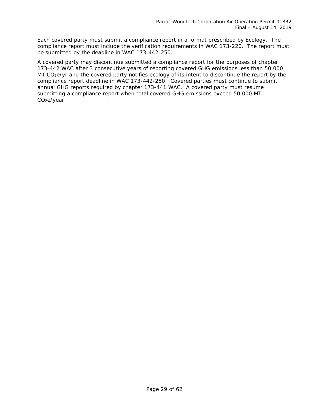Each covered party must submit a compliance report in a format prescribed by Ecology. The compliance report must include the verification requirements in WAC 173-220. The report must be submitted by the deadline in WAC 173-442-250.

A covered party may discontinue submitted a compliance report for the purposes of chapter 173-442 WAC after 3 consecutive years of reporting covered GHG emissions less than 50,000 MT CO<sub>2</sub>e/yr and the covered party notifies ecology of its intent to discontinue the report by the compliance report deadline in WAC 173-442-250. Covered parties must continue to submit annual GHG reports required by chapter 173-441 WAC. A covered party must resume submitting a compliance report when total covered GHG emissions exceed 50,000 MT CO2e/year.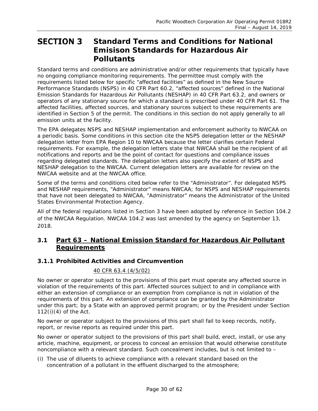## <span id="page-29-0"></span>**SECTION 3 Standard Terms and Conditions for National Emisison Standards for Hazardous Air Pollutants**

Standard terms and conditions are administrative and/or other requirements that typically have no ongoing compliance monitoring requirements. The permittee must comply with the requirements listed below for specific "affected facilities" as defined in the New Source Performance Standards (NSPS) in 40 CFR Part 60.2, "affected sources" defined in the National Emission Standards for Hazardous Air Pollutants (NESHAP) in 40 CFR Part 63.2, and owners or operators of any stationary source for which a standard is prescribed under 40 CFR Part 61. The affected facilities, affected sources, and stationary sources subject to these requirements are identified in Section 5 of the permit. The conditions in this section do not apply generally to all emission units at the facility.

The EPA delegates NSPS and NESHAP implementation and enforcement authority to NWCAA on a periodic basis. Some conditions in this section cite the NSPS delegation letter or the NESHAP delegation letter from EPA Region 10 to NWCAA because the letter clarifies certain Federal requirements. For example, the delegation letters state that NWCAA shall be the recipient of all notifications and reports and be the point of contact for questions and compliance issues regarding delegated standards. The delegation letters also specify the extent of NSPS and NESHAP delegation to the NWCAA. Current delegation letters are available for review on the NWCAA website and at the NWCAA office.

Some of the terms and conditions cited below refer to the "Administrator". For delegated NSPS and NESHAP requirements, "Administrator" means NWCAA; for NSPS and NESHAP requirements that have not been delegated to NWCAA, "Administrator" means the Administrator of the United States Environmental Protection Agency.

All of the federal regulations listed in Section 3 have been adopted by reference in Section 104.2 of the NWCAA Regulation. NWCAA 104.2 was last amended by the agency on September 13, 2018.

## <span id="page-29-1"></span>**3.1 Part 63 – National Emission Standard for Hazardous Air Pollutant Requirements**

## **3.1.1 Prohibited Activities and Circumvention**

## *40 CFR 63.4 (4/5/02)*

No owner or operator subject to the provisions of this part must operate any affected source in violation of the requirements of this part. Affected sources subject to and in compliance with either an extension of compliance or an exemption from compliance is not in violation of the requirements of this part. An extension of compliance can be granted by the Administrator under this part; by a State with an approved permit program; or by the President under Section 112(i)(4) of the Act.

No owner or operator subject to the provisions of this part shall fail to keep records, notify, report, or revise reports as required under this part.

No owner or operator subject to the provisions of this part shall build, erect, install, or use any article, machine, equipment, or process to conceal an emission that would otherwise constitute noncompliance with a relevant standard. Such concealment includes, but is not limited to –

(i) The use of diluents to achieve compliance with a relevant standard based on the concentration of a pollutant in the effluent discharged to the atmosphere;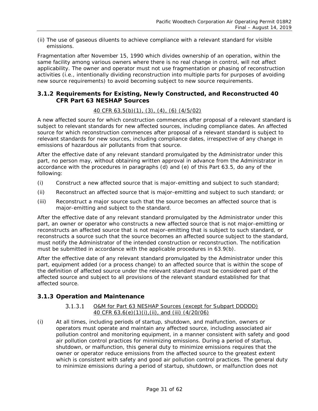(ii) The use of gaseous diluents to achieve compliance with a relevant standard for visible emissions.

Fragmentation after November 15, 1990 which divides ownership of an operation, within the same facility among various owners where there is no real change in control, will not affect applicability. The owner and operator must not use fragmentation or phasing of reconstruction activities (i.e., intentionally dividing reconstruction into multiple parts for purposes of avoiding new source requirements) to avoid becoming subject to new source requirements.

## **3.1.2 Requirements for Existing, Newly Constructed, and Reconstructed 40 CFR Part 63 NESHAP Sources**

## *40 CFR 63.5(b)(1), (3), (4), (6) (4/5/02)*

A new affected source for which construction commences after proposal of a relevant standard is subject to relevant standards for new affected sources, including compliance dates. An affected source for which reconstruction commences after proposal of a relevant standard is subject to relevant standards for new sources, including compliance dates, irrespective of any change in emissions of hazardous air pollutants from that source.

After the effective date of any relevant standard promulgated by the Administrator under this part, no person may, without obtaining written approval in advance from the Administrator in accordance with the procedures in paragraphs (d) and (e) of this Part 63.5, do any of the following:

- (i) Construct a new affected source that is major-emitting and subject to such standard;
- (ii) Reconstruct an affected source that is major-emitting and subject to such standard; or
- (iii) Reconstruct a major source such that the source becomes an affected source that is major-emitting and subject to the standard.

After the effective date of any relevant standard promulgated by the Administrator under this part, an owner or operator who constructs a new affected source that is not major-emitting or reconstructs an affected source that is not major-emitting that is subject to such standard, or reconstructs a source such that the source becomes an affected source subject to the standard, must notify the Administrator of the intended construction or reconstruction. The notification must be submitted in accordance with the applicable procedures in 63.9(b).

After the effective date of any relevant standard promulgated by the Administrator under this part, equipment added (or a process change) to an affected source that is within the scope of the definition of affected source under the relevant standard must be considered part of the affected source and subject to all provisions of the relevant standard established for that affected source.

## **3.1.3 Operation and Maintenance**

#### $3.1.3.1$ *O&M for Part 63 NESHAP Sources (except for Subpart DDDDD) 40 CFR 63.6(e)(1)(i),(ii), and (iii) (4/20/06)*

(i) At all times, including periods of startup, shutdown, and malfunction, owners or operators must operate and maintain any affected source, including associated air pollution control and monitoring equipment, in a manner consistent with safety and good air pollution control practices for minimizing emissions. During a period of startup, shutdown, or malfunction, this general duty to minimize emissions requires that the owner or operator reduce emissions from the affected source to the greatest extent which is consistent with safety and good air pollution control practices. The general duty to minimize emissions during a period of startup, shutdown, or malfunction does not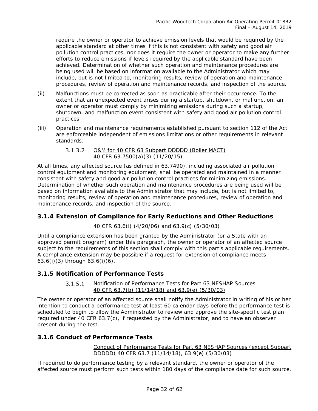require the owner or operator to achieve emission levels that would be required by the applicable standard at other times if this is not consistent with safety and good air pollution control practices, nor does it require the owner or operator to make any further efforts to reduce emissions if levels required by the applicable standard have been achieved. Determination of whether such operation and maintenance procedures are being used will be based on information available to the Administrator which may include, but is not limited to, monitoring results, review of operation and maintenance procedures, review of operation and maintenance records, and inspection of the source.

- (ii) Malfunctions must be corrected as soon as practicable after their occurrence. To the extent that an unexpected event arises during a startup, shutdown, or malfunction, an owner or operator must comply by minimizing emissions during such a startup, shutdown, and malfunction event consistent with safety and good air pollution control practices.
- (iii) Operation and maintenance requirements established pursuant to section 112 of the Act are enforceable independent of emissions limitations or other requirements in relevant standards.

#### $3.1.3.2$ *O&M for 40 CFR 63 Subpart DDDDD (Boiler MACT) 40 CFR 63.7500(a)(3) (11/20/15)*

At all times, any affected source (as defined in 63.7490), including associated air pollution control equipment and monitoring equipment, shall be operated and maintained in a manner consistent with safety and good air pollution control practices for minimizing emissions. Determination of whether such operation and maintenance procedures are being used will be based on information available to the Administrator that may include, but is not limited to, monitoring results, review of operation and maintenance procedures, review of operation and maintenance records, and inspection of the source.

## **3.1.4 Extension of Compliance for Early Reductions and Other Reductions**

## *40 CFR 63.6(i) (4/20/06) and 63.9(c) (5/30/03)*

Until a compliance extension has been granted by the Administrator (or a State with an approved permit program) under this paragraph, the owner or operator of an affected source subject to the requirements of this section shall comply with this part's applicable requirements. A compliance extension may be possible if a request for extension of compliance meets 63.6(i)(3) through 63.6(i)(6).

## **3.1.5 Notification of Performance Tests**

#### $3.1.5.1$ *Notification of Performance Tests for Part 63 NESHAP Sources 40 CFR 63.7(b) (11/14/18) and 63.9(e) (5/30/03)*

The owner or operator of an affected source shall notify the Administrator in writing of his or her intention to conduct a performance test at least 60 calendar days before the performance test is scheduled to begin to allow the Administrator to review and approve the site-specific test plan required under 40 CFR 63.7(c), if requested by the Administrator, and to have an observer present during the test.

## **3.1.6 Conduct of Performance Tests**

## *Conduct of Performance Tests for Part 63 NESHAP Sources (except Subpart DDDDD) 40 CFR 63.7 (11/14/18), 63.9(e) (5/30/03)*

If required to do performance testing by a relevant standard, the owner or operator of the affected source must perform such tests within 180 days of the compliance date for such source.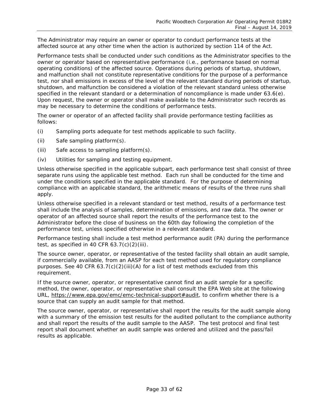The Administrator may require an owner or operator to conduct performance tests at the affected source at any other time when the action is authorized by section 114 of the Act.

Performance tests shall be conducted under such conditions as the Administrator specifies to the owner or operator based on representative performance (i.e., performance based on normal operating conditions) of the affected source. Operations during periods of startup, shutdown, and malfunction shall not constitute representative conditions for the purpose of a performance test, nor shall emissions in excess of the level of the relevant standard during periods of startup, shutdown, and malfunction be considered a violation of the relevant standard unless otherwise specified in the relevant standard or a determination of noncompliance is made under 63.6(e). Upon request, the owner or operator shall make available to the Administrator such records as may be necessary to determine the conditions of performance tests.

The owner or operator of an affected facility shall provide performance testing facilities as follows:

- (i) Sampling ports adequate for test methods applicable to such facility.
- (ii) Safe sampling platform(s).
- (iii) Safe access to sampling platform(s).
- (iv) Utilities for sampling and testing equipment.

Unless otherwise specified in the applicable subpart, each performance test shall consist of three separate runs using the applicable test method. Each run shall be conducted for the time and under the conditions specified in the applicable standard. For the purpose of determining compliance with an applicable standard, the arithmetic means of results of the three runs shall apply.

Unless otherwise specified in a relevant standard or test method, results of a performance test shall include the analysis of samples, determination of emissions, and raw data. The owner or operator of an affected source shall report the results of the performance test to the Administrator before the close of business on the 60th day following the completion of the performance test, unless specified otherwise in a relevant standard.

Performance testing shall include a test method performance audit (PA) during the performance test, as specified in 40 CFR  $63.7(c)(2)(iii)$ .

The source owner, operator, or representative of the tested facility shall obtain an audit sample, if commercially available, from an AASP for each test method used for regulatory compliance purposes. See 40 CFR  $63.7(c)(2)(iii)(A)$  for a list of test methods excluded from this requirement.

If the source owner, operator, or representative cannot find an audit sample for a specific method, the owner, operator, or representative shall consult the EPA Web site at the following URL, [https://www.epa.gov/emc/emc-technical-support#audit,](https://www.epa.gov/emc/emc-technical-support#audit) to confirm whether there is a source that can supply an audit sample for that method.

The source owner, operator, or representative shall report the results for the audit sample along with a summary of the emission test results for the audited pollutant to the compliance authority and shall report the results of the audit sample to the AASP. The test protocol and final test report shall document whether an audit sample was ordered and utilized and the pass/fail results as applicable.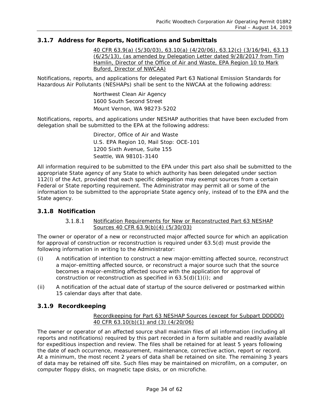## **3.1.7 Address for Reports, Notifications and Submittals**

*40 CFR 63.9(a) (5/30/03), 63.10(a) (4/20/06), 63.12(c) (3/16/94), 63.13 (6/25/13), (as amended by Delegation Letter dated 9/28/2017 from Tim Hamlin, Director of the Office of Air and Waste, EPA Region 10 to Mark Buford, Director of NWCAA)*

Notifications, reports, and applications for delegated Part 63 National Emission Standards for Hazardous Air Pollutants (NESHAPs) shall be sent to the NWCAA at the following address:

> Northwest Clean Air Agency 1600 South Second Street Mount Vernon, WA 98273-5202

Notifications, reports, and applications under NESHAP authorities that have been excluded from delegation shall be submitted to the EPA at the following address:

> Director, Office of Air and Waste U.S. EPA Region 10, Mail Stop: OCE-101 1200 Sixth Avenue, Suite 155 Seattle, WA 98101-3140

All information required to be submitted to the EPA under this part also shall be submitted to the appropriate State agency of any State to which authority has been delegated under section 112(l) of the Act, provided that each specific delegation may exempt sources from a certain Federal or State reporting requirement. The Administrator may permit all or some of the information to be submitted to the appropriate State agency only, instead of to the EPA and the State agency.

## **3.1.8 Notification**

#### *Notification Requirements for New or Reconstructed Part 63 NESHAP*   $3.1.8.1$ *Sources 40 CFR 63.9(b)(4) (5/30/03)*

The owner or operator of a new or reconstructed major affected source for which an application for approval of construction or reconstruction is required under 63.5(d) must provide the following information in writing to the Administrator:

- (i) A notification of intention to construct a new major-emitting affected source, reconstruct a major-emitting affected source, or reconstruct a major source such that the source becomes a major-emitting affected source with the application for approval of construction or reconstruction as specified in  $63.5(d)(1)(i)$ ; and
- (ii) A notification of the actual date of startup of the source delivered or postmarked within 15 calendar days after that date.

## **3.1.9 Recordkeeping**

## *Recordkeeping for Part 63 NESHAP Sources (except for Subpart DDDDD) 40 CFR 63.10(b)(1) and (3) (4/20/06)*

The owner or operator of an affected source shall maintain files of all information (including all reports and notifications) required by this part recorded in a form suitable and readily available for expeditious inspection and review. The files shall be retained for at least 5 years following the date of each occurrence, measurement, maintenance, corrective action, report or record. At a minimum, the most recent 2 years of data shall be retained on site. The remaining 3 years of data may be retained off site. Such files may be maintained on microfilm, on a computer, on computer floppy disks, on magnetic tape disks, or on microfiche.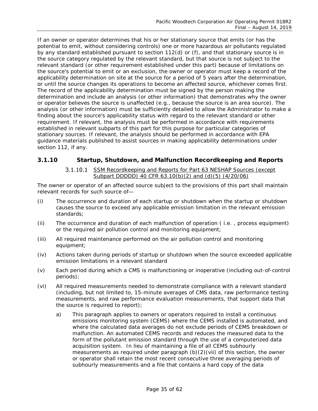If an owner or operator determines that his or her stationary source that emits (or has the potential to emit, without considering controls) one or more hazardous air pollutants regulated by any standard established pursuant to section 112(d) or (f), and that stationary source is in the source category regulated by the relevant standard, but that source is not subject to the relevant standard (or other requirement established under this part) because of limitations on the source's potential to emit or an exclusion, the owner or operator must keep a record of the applicability determination on site at the source for a period of 5 years after the determination, or until the source changes its operations to become an affected source, whichever comes first. The record of the applicability determination must be signed by the person making the determination and include an analysis (or other information) that demonstrates why the owner or operator believes the source is unaffected (e.g., because the source is an area source). The analysis (or other information) must be sufficiently detailed to allow the Administrator to make a finding about the source's applicability status with regard to the relevant standard or other requirement. If relevant, the analysis must be performed in accordance with requirements established in relevant subparts of this part for this purpose for particular categories of stationary sources. If relevant, the analysis should be performed in accordance with EPA guidance materials published to assist sources in making applicability determinations under section 112, if any.

## **3.1.10 Startup, Shutdown, and Malfunction Recordkeeping and Reports**

*SSM Recordkeeping and Reports for Part 63 NESHAP Sources (except Subpart DDDDD) 40 CFR 63.10(b)(2) and (d)(5) (4/20/06)*

The owner or operator of an affected source subject to the provisions of this part shall maintain relevant records for such source of—

- (i) The occurrence and duration of each startup or shutdown when the startup or shutdown causes the source to exceed any applicable emission limitation in the relevant emission standards;
- (ii) The occurrence and duration of each malfunction of operation ( i.e. , process equipment) or the required air pollution control and monitoring equipment;
- (iii) All required maintenance performed on the air pollution control and monitoring equipment;
- (iv) Actions taken during periods of startup or shutdown when the source exceeded applicable emission limitations in a relevant standard
- (v) Each period during which a CMS is malfunctioning or inoperative (including out-of-control periods);
- (vi) All required measurements needed to demonstrate compliance with a relevant standard (including, but not limited to, 15-minute averages of CMS data, raw performance testing measurements, and raw performance evaluation measurements, that support data that the source is required to report);
	- a) This paragraph applies to owners or operators required to install a continuous emissions monitoring system (CEMS) where the CEMS installed is automated, and where the calculated data averages do not exclude periods of CEMS breakdown or malfunction. An automated CEMS records and reduces the measured data to the form of the pollutant emission standard through the use of a computerized data acquisition system. In lieu of maintaining a file of all CEMS subhourly measurements as required under paragraph (b)(2)(vii) of this section, the owner or operator shall retain the most recent consecutive three averaging periods of subhourly measurements and a file that contains a hard copy of the data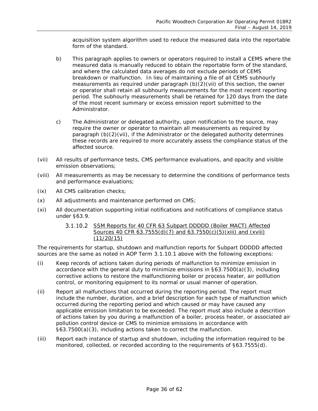acquisition system algorithm used to reduce the measured data into the reportable form of the standard.

- b) This paragraph applies to owners or operators required to install a CEMS where the measured data is manually reduced to obtain the reportable form of the standard, and where the calculated data averages do not exclude periods of CEMS breakdown or malfunction. In lieu of maintaining a file of all CEMS subhourly measurements as required under paragraph (b)(2)(vii) of this section, the owner or operator shall retain all subhourly measurements for the most recent reporting period. The subhourly measurements shall be retained for 120 days from the date of the most recent summary or excess emission report submitted to the Administrator.
- c) The Administrator or delegated authority, upon notification to the source, may require the owner or operator to maintain all measurements as required by paragraph (b)(2)(vii), if the Administrator or the delegated authority determines these records are required to more accurately assess the compliance status of the affected source.
- (vii) All results of performance tests, CMS performance evaluations, and opacity and visible emission observations;
- (viii) All measurements as may be necessary to determine the conditions of performance tests and performance evaluations;
- (ix) All CMS calibration checks;
- (x) All adjustments and maintenance performed on CMS;
- (xi) All documentation supporting initial notifications and notifications of compliance status under §63.9.

## *SSM Reports for 40 CFR 63 Subpart DDDDD (Boiler MACT) Affected Sources 40 CFR 63.7555(d)(7) and 63.7550(c)(5)(xiii) and (xviii) (11/20/15)*

The requirements for startup, shutdown and malfunction reports for Subpart DDDDD affected sources are the same as noted in AOP Term 3.1.10.1 above with the following exceptions:

- (i) Keep records of actions taken during periods of malfunction to minimize emission in accordance with the general duty to minimize emissions in  $\S63.7500(a)(3)$ , including corrective actions to restore the malfunctioning boiler or process heater, air polllution control, or monitoring equipment to its normal or usual manner of operation.
- (ii) Report all malfunctions that occurred during the reporting period. The report must include the number, duration, and a brief description for each type of malfunction which occurred during the reporting period and which caused or may have caused any applicable emission limitation to be exceeded. The report must also include a descrition of actions taken by you during a malfunction of a boiler, process heater, or associated air pollution control device or CMS to minimize emissions in accordance with §63.7500(a)(3), including actions taken to correct the malfunction.
- (iii) Report each instance of startup and shutdown, including the information required to be monitored, collected, or recorded according to the requirements of §63.7555(d).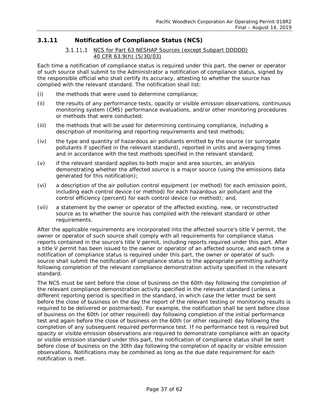## <span id="page-36-0"></span>**3.1.11 Notification of Compliance Status (NCS)**

## *NCS for Part 63 NESHAP Sources (except Subpart DDDDD) 40 CFR 63.9(h) (5/30/03)*

Each time a notification of compliance status is required under this part, the owner or operator of such source shall submit to the Administrator a notification of compliance status, signed by the responsible official who shall certify its accuracy, attesting to whether the source has complied with the relevant standard. The notification shall list:

- (i) the methods that were used to determine compliance;
- (ii) the results of any performance tests, opacity or visible emission observations, continuous monitoring system (CMS) performance evaluations, and/or other monitoring procedures or methods that were conducted;
- (iii) the methods that will be used for determining continuing compliance, including a description of monitoring and reporting requirements and test methods;
- (iv) the type and quantity of hazardous air pollutants emitted by the source (or surrogate pollutants if specified in the relevant standard), reported in units and averaging times and in accordance with the test methods specified in the relevant standard;
- (v) if the relevant standard applies to both major and area sources, an analysis demonstrating whether the affected source is a major source (using the emissions data generated for this notification);
- (vi) a description of the air pollution control equipment (or method) for each emission point, including each control device (or method) for each hazardous air pollutant and the control efficiency (percent) for each control device (or method); and,
- (vii) a statement by the owner or operator of the affected existing, new, or reconstructed source as to whether the source has complied with the relevant standard or other requirements.

After the applicable requirements are incorporated into the affected source's title V permit, the owner or operator of such source shall comply with all requirements for compliance status reports contained in the source's title V permit, including reports required under this part. After a title V permit has been issued to the owner or operator of an affected source, and each time a notification of compliance status is required under this part, the owner or operator of such source shall submit the notification of compliance status to the appropriate permitting authority following completion of the relevant compliance demonstration activity specified in the relevant standard.

The NCS must be sent before the close of business on the 60th day following the completion of the relevant compliance demonstration activity specified in the relevant standard (unless a different reporting period is specified in the standard, in which case the letter must be sent before the close of business on the day the report of the relevant testing or monitoring results is required to be delivered or postmarked). For example, the notification shall be sent before close of business on the 60th (or other required) day following completion of the initial performance test and again before the close of business on the 60th (or other required) day following the completion of any subsequent required performance test. If no performance test is required but opacity or visible emission observations are required to demonstrate compliance with an opacity or visible emission standard under this part, the notification of compliance status shall be sent before close of business on the 30th day following the completion of opacity or visible emission observations. Notifications may be combined as long as the due date requirement for each notification is met.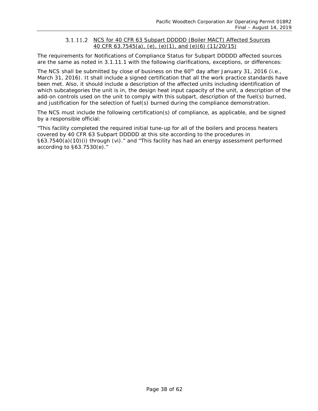#### <span id="page-37-0"></span>*NCS for 40 CFR 63 Subpart DDDDD (Boiler MACT) Affected Sources 40 CFR 63.7545(a), (e), (e)(1), and (e)(6) (11/20/15)*

The requirements for Notifications of Compliance Status for Subpart DDDDD affected sources are the same as noted in [3.1.11.1](#page-36-0) with the following clarifications, exceptions, or differences:

The NCS shall be submitted by close of business on the 60<sup>th</sup> day after January 31, 2016 (i.e., March 31, 2016). It shall include a signed certification that all the work practice standards have been met. Also, it should include a description of the affected units including identification of which subcategories the unit is in, the design heat input capacity of the unit, a description of the add-on controls used on the unit to comply with this subpart, description of the fuel(s) burned, and justification for the selection of fuel(s) burned during the compliance demonstration.

The NCS must include the following certification(s) of compliance, as applicable, and be signed by a responsible official:

"This facility completed the required initial tune-up for all of the boilers and process heaters covered by 40 CFR 63 Subpart DDDDD at this site according to the procedures in §63.7540(a)(10)(i) through (vi)." and "This facility has had an energy assessment performed according to §63.7530(e)."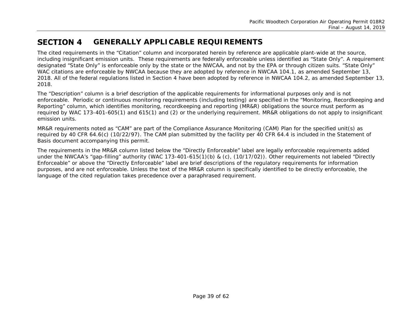#### **SECTION 4 GENERALLY APPLICABLE REQUIREMENTS**

The cited requirements in the "Citation" column and incorporated herein by reference are applicable plant-wide at the source, including insignificant emission units. These requirements are federally enforceable unless identified as "State Only". A requirement designated "State Only" is enforceable only by the state or the NWCAA, and not by the EPA or through citizen suits. "State Only" WAC citations are enforceable by NWCAA because they are adopted by reference in NWCAA 104.1, as amended September 13, 2018. All of the federal regulations listed in Section 4 have been adopted by reference in NWCAA 104.2, as amended September 13, 2018.

The "Description" column is a brief description of the applicable requirements for informational purposes only and is not enforceable. Periodic or continuous monitoring requirements (including testing) are specified in the "Monitoring, Recordkeeping and Reporting" column, which identifies monitoring, recordkeeping and reporting (MR&R) obligations the source must perform as required by WAC 173-401-605(1) and 615(1) and (2) or the underlying requirement. MR&R obligations do not apply to insignificant emission units.

<span id="page-38-0"></span>MR&R requirements noted as "CAM" are part of the Compliance Assurance Monitoring (CAM) Plan for the specified unit(s) as required by 40 CFR 64.6(c) (10/22/97). The CAM plan submitted by the facility per 40 CFR 64.4 is included in the Statement of Basis document accompanying this permit.

The requirements in the MR&R column listed below the "Directly Enforceable" label are legally enforceable requirements added under the NWCAA's "gap-filling" authority (WAC 173-401-615(1)(b) & (c), (10/17/02)). Other requirements not labeled *"Directly Enforceable"* or above the *"Directly Enforceable"* label are brief descriptions of the regulatory requirements for information purposes, and are not enforceable. Unless the text of the MR&R column is specifically identified to be directly enforceable, the language of the cited regulation takes precedence over a paraphrased requirement.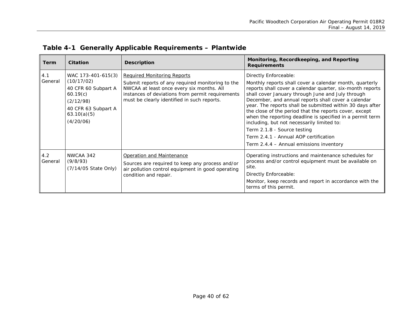<span id="page-39-0"></span>

| Term           | Citation                                                                                                                            | <b>Description</b>                                                                                                                                                                                                                     | Monitoring, Recordkeeping, and Reporting<br><b>Requirements</b>                                                                                                                                                                                                                                                                                                                                                                                                                                                                                                                                                |
|----------------|-------------------------------------------------------------------------------------------------------------------------------------|----------------------------------------------------------------------------------------------------------------------------------------------------------------------------------------------------------------------------------------|----------------------------------------------------------------------------------------------------------------------------------------------------------------------------------------------------------------------------------------------------------------------------------------------------------------------------------------------------------------------------------------------------------------------------------------------------------------------------------------------------------------------------------------------------------------------------------------------------------------|
| 4.1<br>General | WAC 173-401-615(3)<br>(10/17/02)<br>40 CFR 60 Subpart A<br>60.19(c)<br>(2/12/98)<br>40 CFR 63 Subpart A<br>63.10(a)(5)<br>(4/20/06) | <b>Required Monitoring Reports</b><br>Submit reports of any required monitoring to the<br>NWCAA at least once every six months. All<br>instances of deviations from permit requirements<br>must be clearly identified in such reports. | Directly Enforceable:<br>Monthly reports shall cover a calendar month, quarterly<br>reports shall cover a calendar quarter, six-month reports<br>shall cover January through June and July through<br>December, and annual reports shall cover a calendar<br>year. The reports shall be submitted within 30 days after<br>the close of the period that the reports cover, except<br>when the reporting deadline is specified in a permit term<br>including, but not necessarily limited to:<br>Term 2.1.8 - Source testing<br>Term 2.4.1 - Annual AOP certification<br>Term 2.4.4 - Annual emissions inventory |
| 4.2<br>General | NWCAA 342<br>(9/8/93)<br>(7/14/05 State Only)                                                                                       | Operation and Maintenance<br>Sources are required to keep any process and/or<br>air pollution control equipment in good operating<br>condition and repair.                                                                             | Operating instructions and maintenance schedules for<br>process and/or control equipment must be available on<br>site.<br>Directly Enforceable:<br>Monitor, keep records and report in accordance with the<br>terms of this permit.                                                                                                                                                                                                                                                                                                                                                                            |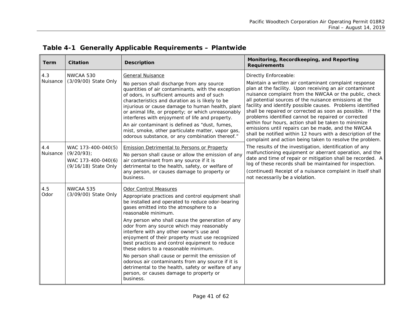<span id="page-40-0"></span>

| Term     | <b>Citation</b>                                             | <b>Description</b>                                                                                                                                                                                                                                                                                                                                                                                                                                                                                                       | Monitoring, Recordkeeping, and Reporting<br><b>Requirements</b>                                                                                                                                                                                                                                                                                                                                                                                                                                                                                                                                                                                                  |
|----------|-------------------------------------------------------------|--------------------------------------------------------------------------------------------------------------------------------------------------------------------------------------------------------------------------------------------------------------------------------------------------------------------------------------------------------------------------------------------------------------------------------------------------------------------------------------------------------------------------|------------------------------------------------------------------------------------------------------------------------------------------------------------------------------------------------------------------------------------------------------------------------------------------------------------------------------------------------------------------------------------------------------------------------------------------------------------------------------------------------------------------------------------------------------------------------------------------------------------------------------------------------------------------|
| 4.3      | NWCAA 530                                                   | General Nuisance                                                                                                                                                                                                                                                                                                                                                                                                                                                                                                         | Directly Enforceable:                                                                                                                                                                                                                                                                                                                                                                                                                                                                                                                                                                                                                                            |
| Nuisance | (3/09/00) State Only                                        | No person shall discharge from any source<br>quantities of air contaminants, with the exception<br>of odors, in sufficient amounts and of such<br>characteristics and duration as is likely to be<br>injurious or cause damage to human health, plant<br>or animal life, or property; or which unreasonably<br>interferes with enjoyment of life and property.<br>An air contaminant is defined as "dust, fumes,<br>mist, smoke, other particulate matter, vapor gas,<br>odorous substance, or any combination thereof." | Maintain a written air contaminant complaint response<br>plan at the facility. Upon receiving an air contaminant<br>nuisance complaint from the NWCAA or the public, check<br>all potential sources of the nuisance emissions at the<br>facility and identify possible causes. Problems identified<br>shall be repaired or corrected as soon as possible. If the<br>problems identified cannot be repaired or corrected<br>within four hours, action shall be taken to minimize<br>emissions until repairs can be made, and the NWCAA<br>shall be notified within 12 hours with a description of the<br>complaint and action being taken to resolve the problem. |
| 4.4      | WAC 173-400-040(5)                                          | <b>Emission Detrimental to Persons or Property</b>                                                                                                                                                                                                                                                                                                                                                                                                                                                                       | The results of the investigation, identification of any                                                                                                                                                                                                                                                                                                                                                                                                                                                                                                                                                                                                          |
| Nuisance | $(9/20/93)$ ;<br>WAC 173-400-040(6)<br>(9/16/18) State Only | No person shall cause or allow the emission of any<br>air contaminant from any source if it is<br>detrimental to the health, safety, or welfare of<br>any person, or causes damage to property or<br>business.                                                                                                                                                                                                                                                                                                           | malfunctioning equipment or aberrant operation, and the<br>date and time of repair or mitigation shall be recorded. A<br>log of these records shall be maintained for inspection.<br>(continued) Receipt of a nuisance complaint in itself shall<br>not necessarily be a violation.                                                                                                                                                                                                                                                                                                                                                                              |
| 4.5      | NWCAA 535                                                   | Odor Control Measures                                                                                                                                                                                                                                                                                                                                                                                                                                                                                                    |                                                                                                                                                                                                                                                                                                                                                                                                                                                                                                                                                                                                                                                                  |
| Odor     | (3/09/00) State Only                                        | Appropriate practices and control equipment shall<br>be installed and operated to reduce odor-bearing<br>gases emitted into the atmosphere to a<br>reasonable minimum.                                                                                                                                                                                                                                                                                                                                                   |                                                                                                                                                                                                                                                                                                                                                                                                                                                                                                                                                                                                                                                                  |
|          |                                                             | Any person who shall cause the generation of any<br>odor from any source which may reasonably<br>interfere with any other owner's use and<br>enjoyment of their property must use recognized<br>best practices and control equipment to reduce<br>these odors to a reasonable minimum.                                                                                                                                                                                                                                   |                                                                                                                                                                                                                                                                                                                                                                                                                                                                                                                                                                                                                                                                  |
|          |                                                             | No person shall cause or permit the emission of<br>odorous air contaminants from any source if it is<br>detrimental to the health, safety or welfare of any<br>person, or causes damage to property or<br>business.                                                                                                                                                                                                                                                                                                      |                                                                                                                                                                                                                                                                                                                                                                                                                                                                                                                                                                                                                                                                  |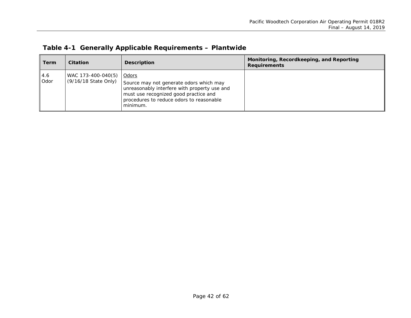|  |  |  | Table 4-1 Generally Applicable Requirements - Plantwide |
|--|--|--|---------------------------------------------------------|
|--|--|--|---------------------------------------------------------|

| Term        | <b>Citation</b>                            | <b>Description</b>                                                                                                                                                                                | Monitoring, Recordkeeping, and Reporting<br><b>Requirements</b> |
|-------------|--------------------------------------------|---------------------------------------------------------------------------------------------------------------------------------------------------------------------------------------------------|-----------------------------------------------------------------|
| 4.6<br>Odor | WAC 173-400-040(5)<br>(9/16/18 State Only) | Odors<br>Source may not generate odors which may<br>unreasonably interfere with property use and<br>must use recognized good practice and<br>procedures to reduce odors to reasonable<br>minimum. |                                                                 |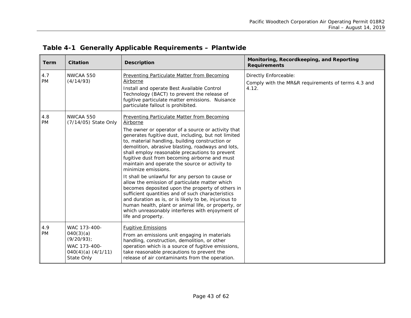| <b>Term</b>      | <b>Citation</b>                                                                                    | <b>Description</b>                                                                                                                                                                                                                                                                                                                                                                                                                                                                                                                                                                                                                                                                                                                                                                                                                                                    | Monitoring, Recordkeeping, and Reporting<br><b>Requirements</b>                      |
|------------------|----------------------------------------------------------------------------------------------------|-----------------------------------------------------------------------------------------------------------------------------------------------------------------------------------------------------------------------------------------------------------------------------------------------------------------------------------------------------------------------------------------------------------------------------------------------------------------------------------------------------------------------------------------------------------------------------------------------------------------------------------------------------------------------------------------------------------------------------------------------------------------------------------------------------------------------------------------------------------------------|--------------------------------------------------------------------------------------|
| 4.7<br><b>PM</b> | NWCAA 550<br>(4/14/93)                                                                             | <b>Preventing Particulate Matter from Becoming</b><br>Airborne<br>Install and operate Best Available Control<br>Technology (BACT) to prevent the release of<br>fugitive particulate matter emissions. Nuisance<br>particulate fallout is prohibited.                                                                                                                                                                                                                                                                                                                                                                                                                                                                                                                                                                                                                  | Directly Enforceable:<br>Comply with the MR&R requirements of terms 4.3 and<br>4.12. |
| 4.8<br><b>PM</b> | NWCAA 550<br>(7/14/05) State Only                                                                  | <b>Preventing Particulate Matter from Becoming</b><br>Airborne<br>The owner or operator of a source or activity that<br>generates fugitive dust, including, but not limited<br>to, material handling, building construction or<br>demolition, abrasive blasting, roadways and lots,<br>shall employ reasonable precautions to prevent<br>fugitive dust from becoming airborne and must<br>maintain and operate the source or activity to<br>minimize emissions.<br>It shall be unlawful for any person to cause or<br>allow the emission of particulate matter which<br>becomes deposited upon the property of others in<br>sufficient quantities and of such characteristics<br>and duration as is, or is likely to be, injurious to<br>human health, plant or animal life, or property, or<br>which unreasonably interferes with enjoyment of<br>life and property. |                                                                                      |
| 4.9<br><b>PM</b> | WAC 173-400-<br>040(3)(a)<br>$(9/20/93)$ ;<br>WAC 173-400-<br>$040(4)(a)$ $(4/1/11)$<br>State Only | <b>Fugitive Emissions</b><br>From an emissions unit engaging in materials<br>handling, construction, demolition, or other<br>operation which is a source of fugitive emissions,<br>take reasonable precautions to prevent the<br>release of air contaminants from the operation.                                                                                                                                                                                                                                                                                                                                                                                                                                                                                                                                                                                      |                                                                                      |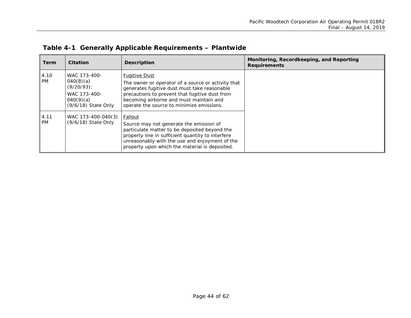| Term              | Citation                                                                                         | <b>Description</b>                                                                                                                                                                                                                                                   | Monitoring, Recordkeeping, and Reporting<br><b>Requirements</b> |
|-------------------|--------------------------------------------------------------------------------------------------|----------------------------------------------------------------------------------------------------------------------------------------------------------------------------------------------------------------------------------------------------------------------|-----------------------------------------------------------------|
| 4.10<br><b>PM</b> | WAC 173-400-<br>040(8)(a)<br>$(9/20/93)$ ;<br>WAC 173-400-<br>040(9)(a)<br>$(9/6/18)$ State Only | <b>Fugitive Dust</b><br>The owner or operator of a source or activity that<br>generates fugitive dust must take reasonable<br>precautions to prevent that fugitive dust from<br>becoming airborne and must maintain and<br>operate the source to minimize emissions. |                                                                 |
| 4.11<br><b>PM</b> | WAC 173-400-040(3)<br>(9/6/18) State Only                                                        | Fallout<br>Source may not generate the emission of<br>particulate matter to be deposited beyond the<br>property line in sufficient quantity to interfere<br>unreasonably with the use and enjoyment of the<br>property upon which the material is deposited.         |                                                                 |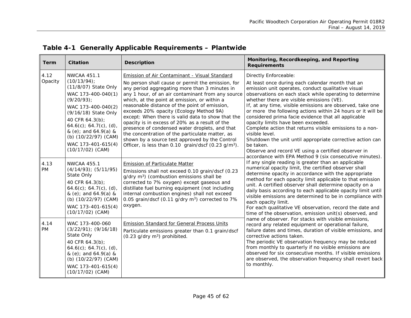<span id="page-44-0"></span>

| <b>Term</b>       | <b>Citation</b>                                                                                                                                                                                                                                                                            | <b>Description</b>                                                                                                                                                                                                                                                                                                                                                                                                                                                                                                                                                                                                                                                                           | Monitoring, Recordkeeping, and Reporting<br><b>Requirements</b>                                                                                                                                                                                                                                                                                                                                                                                                                                                                                                                                                                                                                                                                            |
|-------------------|--------------------------------------------------------------------------------------------------------------------------------------------------------------------------------------------------------------------------------------------------------------------------------------------|----------------------------------------------------------------------------------------------------------------------------------------------------------------------------------------------------------------------------------------------------------------------------------------------------------------------------------------------------------------------------------------------------------------------------------------------------------------------------------------------------------------------------------------------------------------------------------------------------------------------------------------------------------------------------------------------|--------------------------------------------------------------------------------------------------------------------------------------------------------------------------------------------------------------------------------------------------------------------------------------------------------------------------------------------------------------------------------------------------------------------------------------------------------------------------------------------------------------------------------------------------------------------------------------------------------------------------------------------------------------------------------------------------------------------------------------------|
| 4.12<br>Opacity   | <b>NWCAA 451.1</b><br>$(10/13/94)$ ;<br>(11/8/07) State Only<br>WAC 173-400-040(1)<br>$(9/20/93)$ ;<br>WAC 173-400-040(2)<br>(9/16/18) State Only<br>40 CFR 64.3(b);<br>64.6(c); 64.7(c), (d),<br>& (e); and 64.9(a) &<br>(b) (10/22/97) (CAM)<br>WAC 173-401-615(4)<br>$(10/17/02)$ (CAM) | <b>Emission of Air Contaminant - Visual Standard</b><br>No person shall cause or permit the emission, for<br>any period aggregating more than 3 minutes in<br>any 1 hour, of an air contaminant from any source<br>which, at the point at emission, or within a<br>reasonable distance of the point of emission,<br>exceeds 20% opacity (Ecology Method 9A)<br>except: When there is valid data to show that the<br>opacity is in excess of 20% as a result of the<br>presence of condensed water droplets, and that<br>the concentration of the particulate matter, as<br>shown by a source test approved by the Control<br>Officer, is less than 0.10 grain/dscf (0.23 g/m <sup>3</sup> ). | Directly Enforceable:<br>At least once during each calendar month that an<br>emission unit operates, conduct qualitative visual<br>observations on each stack while operating to determine<br>whether there are visible emissions (VE).<br>If, at any time, visible emissions are observed, take one<br>or more the following actions within 24 hours or it will be<br>considered prima facie evidence that all applicable<br>opacity limits have been exceeded.<br>Complete action that returns visible emissions to a non-<br>visible level.<br>Shutdown the unit until appropriate corrective action can<br>be taken.<br>Observe and record VE using a certified observer in<br>accordance with EPA Method 9 (six consecutive minutes). |
| 4.13<br><b>PM</b> | <b>NWCAA 455.1</b><br>$(4/14/93)$ ; $(5/11/95)$<br>State Only<br>40 CFR 64.3(b);<br>$64.6(c)$ ; $64.7(c)$ , (d),<br>& (e); and 64.9(a) &<br>(b) (10/22/97) (CAM)<br>WAC 173-401-615(4)<br>$(10/17/02)$ (CAM)                                                                               | <b>Emission of Particulate Matter</b><br>Emissions shall not exceed 0.10 grain/dscf (0.23<br>$g/dry$ m <sup>3</sup> ) (combustion emissions shall be<br>corrected to 7% oxygen) except gaseous and<br>distillate fuel burning equipment (not including<br>internal combustion engines) shall not exceed<br>0.05 grain/dscf (0.11 g/dry m <sup>3</sup> ) corrected to 7%<br>oxygen.                                                                                                                                                                                                                                                                                                           | If any single reading is greater than an applicable<br>numerical opacity limit, the certified observer shall<br>determine opacity in accordance with the appropriate<br>method for each opacity limit applicable to that emission<br>unit. A certified observer shall determine opacity on a<br>daily basis according to each applicable opacity limit until<br>visible emissions are determined to be in compliance with<br>each opacity limit.<br>For each qualitative VE observation, record the date and<br>time of the observation, emission unit(s) observed, and                                                                                                                                                                    |
| 4.14<br><b>PM</b> | WAC 173-400-060<br>$(3/22/91);$ $(9/16/18)$<br>State Only<br>40 CFR 64.3(b);<br>$64.6(c)$ ; $64.7(c)$ , (d),<br>& (e); and 64.9(a) &<br>(b) (10/22/97) (CAM)<br>WAC 173-401-615(4)<br>$(10/17/02)$ (CAM)                                                                                   | <b>Emission Standard for General Process Units</b><br>Particulate emissions greater than 0.1 grain/dscf<br>$(0.23$ g/dry m <sup>3</sup> ) prohibited.                                                                                                                                                                                                                                                                                                                                                                                                                                                                                                                                        | name of observer. For stacks with visible emissions,<br>record any related equipment or operational failure,<br>failure dates and times, duration of visible emissions, and<br>corrective actions taken.<br>The periodic VE observation frequency may be reduced<br>from monthly to quarterly if no visible emissions are<br>observed for six consecutive months. If visible emissions<br>are observed, the observation frequency shall revert back<br>to monthly.                                                                                                                                                                                                                                                                         |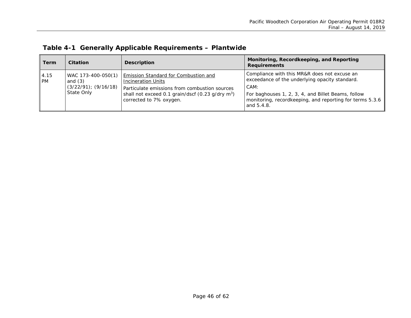| <b>Term</b>       | Citation                                                                   | <b>Description</b>                                                                                                                                                                                            | Monitoring, Recordkeeping, and Reporting<br><b>Requirements</b>                                                                                                                                                                        |
|-------------------|----------------------------------------------------------------------------|---------------------------------------------------------------------------------------------------------------------------------------------------------------------------------------------------------------|----------------------------------------------------------------------------------------------------------------------------------------------------------------------------------------------------------------------------------------|
| 4.15<br><b>PM</b> | WAC 173-400-050(1)<br>and $(3)$<br>$(3/22/91)$ ; $(9/16/18)$<br>State Only | Emission Standard for Combustion and<br><b>Incineration Units</b><br>Particulate emissions from combustion sources<br>shall not exceed 0.1 grain/dscf (0.23 g/dry m <sup>3</sup> )<br>corrected to 7% oxygen. | Compliance with this MR&R does not excuse an<br>exceedance of the underlying opacity standard.<br>CAM:<br>For baghouses 1, 2, 3, 4, and Billet Beams, follow<br>monitoring, recordkeeping, and reporting for terms 5.3.6<br>and 5.4.8. |

|  |  |  | Table 4-1 Generally Applicable Requirements - Plantwide |  |
|--|--|--|---------------------------------------------------------|--|
|--|--|--|---------------------------------------------------------|--|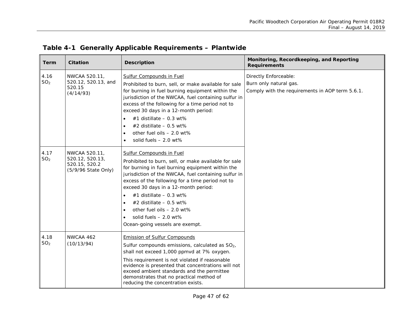| <b>Term</b>             | <b>Citation</b>                                                          | <b>Description</b>                                                                                                                                                                                                                                                                                                                                                                                                                                                   | Monitoring, Recordkeeping, and Reporting<br><b>Requirements</b>                                    |  |
|-------------------------|--------------------------------------------------------------------------|----------------------------------------------------------------------------------------------------------------------------------------------------------------------------------------------------------------------------------------------------------------------------------------------------------------------------------------------------------------------------------------------------------------------------------------------------------------------|----------------------------------------------------------------------------------------------------|--|
| 4.16<br>SO <sub>2</sub> | NWCAA 520.11,<br>520.12, 520.13, and<br>520.15<br>(4/14/93)              | <b>Sulfur Compounds in Fuel</b><br>Prohibited to burn, sell, or make available for sale<br>for burning in fuel burning equipment within the<br>jurisdiction of the NWCAA, fuel containing sulfur in<br>excess of the following for a time period not to<br>exceed 30 days in a 12-month period:<br>#1 distillate $-0.3$ wt%<br>#2 distillate $-0.5$ wt%<br>other fuel oils - 2.0 wt%<br>solid fuels $-2.0$ wt%                                                       | Directly Enforceable:<br>Burn only natural gas.<br>Comply with the requirements in AOP term 5.6.1. |  |
| 4.17<br>SO <sub>2</sub> | NWCAA 520.11,<br>520.12, 520.13,<br>520.15, 520.2<br>(5/9/96 State Only) | Sulfur Compounds in Fuel<br>Prohibited to burn, sell, or make available for sale<br>for burning in fuel burning equipment within the<br>jurisdiction of the NWCAA, fuel containing sulfur in<br>excess of the following for a time period not to<br>exceed 30 days in a 12-month period:<br>#1 distillate $-0.3$ wt%<br>#2 distillate $-0.5$ wt%<br>$\bullet$<br>other fuel oils - 2.0 wt%<br>solid fuels $-2.0$ wt%<br>$\bullet$<br>Ocean-going vessels are exempt. |                                                                                                    |  |
| 4.18<br>SO <sub>2</sub> | NWCAA 462<br>(10/13/94)                                                  | <b>Emission of Sulfur Compounds</b><br>Sulfur compounds emissions, calculated as $SO2$ ,<br>shall not exceed 1,000 ppmvd at 7% oxygen.<br>This requirement is not violated if reasonable<br>evidence is presented that concentrations will not<br>exceed ambient standards and the permittee<br>demonstrates that no practical method of<br>reducing the concentration exists.                                                                                       |                                                                                                    |  |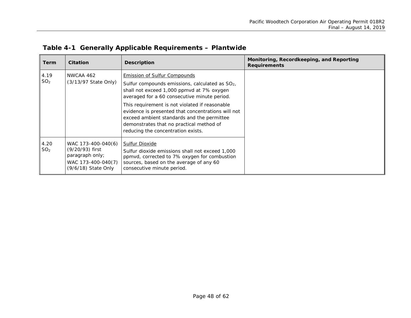| <b>Term</b>             | <b>Citation</b>                                                                                       | <b>Description</b>                                                                                                                                                                                                                                                                                                                                                                                                            | Monitoring, Recordkeeping, and Reporting<br><b>Requirements</b> |
|-------------------------|-------------------------------------------------------------------------------------------------------|-------------------------------------------------------------------------------------------------------------------------------------------------------------------------------------------------------------------------------------------------------------------------------------------------------------------------------------------------------------------------------------------------------------------------------|-----------------------------------------------------------------|
| 4.19<br>SO <sub>2</sub> | NWCAA 462<br>(3/13/97 State Only)                                                                     | <b>Emission of Sulfur Compounds</b><br>Sulfur compounds emissions, calculated as $SO2$ ,<br>shall not exceed 1,000 ppmvd at 7% oxygen<br>averaged for a 60 consecutive minute period.<br>This requirement is not violated if reasonable<br>evidence is presented that concentrations will not<br>exceed ambient standards and the permittee<br>demonstrates that no practical method of<br>reducing the concentration exists. |                                                                 |
| 4.20<br>SO <sub>2</sub> | WAC 173-400-040(6)<br>(9/20/93) first<br>paragraph only;<br>WAC 173-400-040(7)<br>(9/6/18) State Only | <b>Sulfur Dioxide</b><br>Sulfur dioxide emissions shall not exceed 1,000<br>ppmvd, corrected to 7% oxygen for combustion<br>sources, based on the average of any 60<br>consecutive minute period.                                                                                                                                                                                                                             |                                                                 |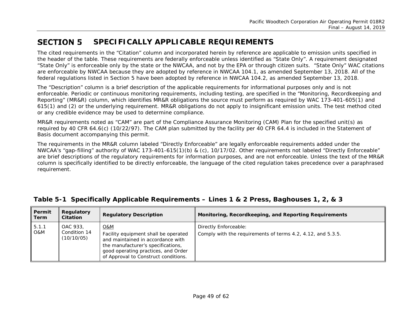#### **SECTION 5 SPECIFICALLY APPLICABLE REQUIREMENTS**

The cited requirements in the "Citation" column and incorporated herein by reference are applicable to emission units specified in the header of the table. These requirements are federally enforceable unless identified as "State Only". A requirement designated "State Only" is enforceable only by the state or the NWCAA, and not by the EPA or through citizen suits. "State Only" WAC citations are enforceable by NWCAA because they are adopted by reference in NWCAA 104.1, as amended September 13, 2018. All of the federal regulations listed in Section 5 have been adopted by reference in NWCAA 104.2, as amended September 13, 2018.

The "Description" column is a brief description of the applicable requirements for informational purposes only and is not enforceable. Periodic or continuous monitoring requirements, including testing, are specified in the "Monitoring, Recordkeeping and Reporting" (MR&R) column, which identifies MR&R obligations the source must perform as required by WAC 173-401-605(1) and 615(1) and (2) or the underlying requirement. MR&R obligations do not apply to insignificant emission units. The test method cited or any credible evidence may be used to determine compliance.

MR&R requirements noted as "CAM" are part of the Compliance Assurance Monitoring (CAM) Plan for the specified unit(s) as required by 40 CFR 64.6(c) (10/22/97). The CAM plan submitted by the facility per 40 CFR 64.4 is included in the Statement of Basis document accompanying this permit.

<span id="page-48-0"></span>The requirements in the MR&R column labeled "Directly Enforceable" are legally enforceable requirements added under the NWCAA's "gap-filling" authority of WAC 173-401-615(1)(b) & (c), 10/17/02. Other requirements not labeled "Directly Enforceable" are brief descriptions of the regulatory requirements for information purposes, and are not enforceable. Unless the text of the MR&R column is specifically identified to be directly enforceable, the language of the cited regulation takes precedence over a paraphrased requirement.

<span id="page-48-1"></span>

| Permit<br>Term | Regulatory<br><b>Citation</b>          | <b>Regulatory Description</b>                                                                                                                                                                                    | Monitoring, Recordkeeping, and Reporting Requirements                                |
|----------------|----------------------------------------|------------------------------------------------------------------------------------------------------------------------------------------------------------------------------------------------------------------|--------------------------------------------------------------------------------------|
| 5.1.1<br>O&M   | OAC 933.<br>Condition 14<br>(10/10/05) | <u>O&amp;M</u><br>Facility equipment shall be operated<br>and maintained in accordance with<br>the manufacturer's specifications,<br>good operating practices, and Order<br>of Approval to Construct conditions. | Directly Enforceable:<br>Comply with the requirements of terms 4.2, 4.12, and 5.3.5. |

## **Table 5-1 Specifically Applicable Requirements – Lines 1 & 2 Press, Baghouses 1, 2, & 3**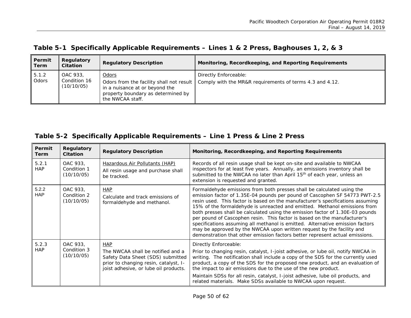## **Table 5-1 Specifically Applicable Requirements – Lines 1 & 2 Press, Baghouses 1, 2, & 3**

| Permit<br>Term | Regulatory<br><b>Citation</b>          | <b>Regulatory Description</b>                                                                                                                        | Monitoring, Recordkeeping, and Reporting Requirements                             |
|----------------|----------------------------------------|------------------------------------------------------------------------------------------------------------------------------------------------------|-----------------------------------------------------------------------------------|
| 5.1.2<br>Odors | OAC 933.<br>Condition 16<br>(10/10/05) | <u>Odors</u><br>Odors from the facility shall not result<br>in a nuisance at or beyond the<br>property boundary as determined by<br>the NWCAA staff. | Directly Enforceable:<br>Comply with the MR&R requirements of terms 4.3 and 4.12. |

## **Table 5-2 Specifically Applicable Requirements – Line 1 Press & Line 2 Press**

<span id="page-49-0"></span>

| Permit<br><b>Term</b> | Regulatory<br><b>Citation</b>         | <b>Regulatory Description</b>                                                                                                                                          | Monitoring, Recordkeeping, and Reporting Requirements                                                                                                                                                                                                                                                                                                                                                                                                                                                                                                                                                                                                                                                                      |
|-----------------------|---------------------------------------|------------------------------------------------------------------------------------------------------------------------------------------------------------------------|----------------------------------------------------------------------------------------------------------------------------------------------------------------------------------------------------------------------------------------------------------------------------------------------------------------------------------------------------------------------------------------------------------------------------------------------------------------------------------------------------------------------------------------------------------------------------------------------------------------------------------------------------------------------------------------------------------------------------|
| 5.2.1<br><b>HAP</b>   | OAC 933,<br>Condition 1<br>(10/10/05) | Hazardous Air Pollutants (HAP)<br>All resin usage and purchase shall<br>be tracked.                                                                                    | Records of all resin usage shall be kept on-site and available to NWCAA<br>inspectors for at least five years. Annually, an emissions inventory shall be<br>submitted to the NWCAA no later than April 15 <sup>th</sup> of each year, unless an<br>extension is requested and granted.                                                                                                                                                                                                                                                                                                                                                                                                                                     |
| 5.2.2<br><b>HAP</b>   | OAC 933,<br>Condition 2<br>(10/10/05) | <b>HAP</b><br>Calculate and track emissions of<br>formaldehyde and methanol.                                                                                           | Formaldehyde emissions from both presses shall be calculated using the<br>emission factor of 1.35E-04 pounds per pound of Cascophen SF 54773 PWT-2.5<br>resin used. This factor is based on the manufacturer's specifications assuming<br>15% of the formaldehyde is unreacted and emitted. Methanol emissions from<br>both presses shall be calculated using the emission factor of 1.30E-03 pounds<br>per pound of Cascophen resin. This factor is based on the manufacturer's<br>specifications assuming all methanol is emitted. Alternative emission factors<br>may be approved by the NWCAA upon written request by the facility and<br>demonstration that other emission factors better represent actual emissions. |
| 5.2.3<br><b>HAP</b>   | OAC 933,<br>Condition 3<br>(10/10/05) | <b>HAP</b><br>The NWCAA shall be notified and a<br>Safety Data Sheet (SDS) submitted<br>prior to changing resin, catalyst, I-<br>joist adhesive, or lube oil products. | Directly Enforceable:<br>Prior to changing resin, catalyst, I-joist adhesive, or lube oil, notify NWCAA in<br>writing. The notification shall include a copy of the SDS for the currently used<br>product, a copy of the SDS for the proposed new product, and an evaluation of<br>the impact to air emissions due to the use of the new product.<br>Maintain SDSs for all resin, catalyst, I-joist adhesive, lube oil products, and<br>related materials. Make SDSs available to NWCAA upon request.                                                                                                                                                                                                                      |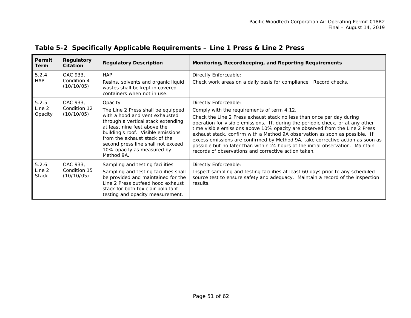| Permit<br>Term                  | Regulatory<br><b>Citation</b>          | <b>Regulatory Description</b>                                                                                                                                                                                                                                                                                  | Monitoring, Recordkeeping, and Reporting Requirements                                                                                                                                                                                                                                                                                                                                                                                                                                                                                                                                                                      |
|---------------------------------|----------------------------------------|----------------------------------------------------------------------------------------------------------------------------------------------------------------------------------------------------------------------------------------------------------------------------------------------------------------|----------------------------------------------------------------------------------------------------------------------------------------------------------------------------------------------------------------------------------------------------------------------------------------------------------------------------------------------------------------------------------------------------------------------------------------------------------------------------------------------------------------------------------------------------------------------------------------------------------------------------|
| 5.2.4<br><b>HAP</b>             | OAC 933,<br>Condition 4<br>(10/10/05)  | <b>HAP</b><br>Resins, solvents and organic liquid<br>wastes shall be kept in covered<br>containers when not in use.                                                                                                                                                                                            | Directly Enforceable:<br>Check work areas on a daily basis for compliance. Record checks.                                                                                                                                                                                                                                                                                                                                                                                                                                                                                                                                  |
| 5.2.5<br>Line 2<br>Opacity      | OAC 933,<br>Condition 12<br>(10/10/05) | Opacity<br>The Line 2 Press shall be equipped<br>with a hood and vent exhausted<br>through a vertical stack extending<br>at least nine feet above the<br>building's roof. Visible emissions<br>from the exhaust stack of the<br>second press line shall not exceed<br>10% opacity as measured by<br>Method 9A. | Directly Enforceable:<br>Comply with the requirements of term 4.12.<br>Check the Line 2 Press exhaust stack no less than once per day during<br>operation for visible emissions. If, during the periodic check, or at any other<br>time visible emissions above 10% opacity are observed from the Line 2 Press<br>exhaust stack, confirm with a Method 9A observation as soon as possible. If<br>excess emissions are confirmed by Method 9A, take corrective action as soon as<br>possible but no later than within 24 hours of the initial observation. Maintain<br>records of observations and corrective action taken. |
| 5.2.6<br>Line 2<br><b>Stack</b> | OAC 933,<br>Condition 15<br>(10/10/05) | Sampling and testing facilities<br>Sampling and testing facilities shall<br>be provided and maintained for the<br>Line 2 Press outfeed hood exhaust<br>stack for both toxic air pollutant<br>testing and opacity measurement.                                                                                  | Directly Enforceable:<br>Inspect sampling and testing facilities at least 60 days prior to any scheduled<br>source test to ensure safety and adequacy. Maintain a record of the inspection<br>results.                                                                                                                                                                                                                                                                                                                                                                                                                     |

## **Table 5-2 Specifically Applicable Requirements – Line 1 Press & Line 2 Press**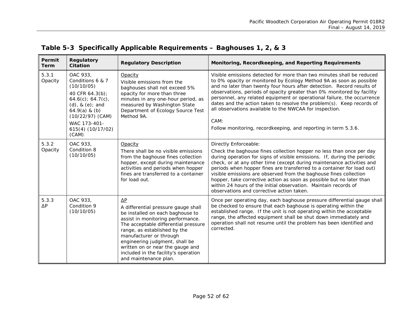<span id="page-51-0"></span>

| Permit<br><b>Term</b> | Regulatory<br><b>Citation</b>                                                                                                                                                                         | <b>Regulatory Description</b>                                                                                                                                                                                                                                                                                                                                        | Monitoring, Recordkeeping, and Reporting Requirements                                                                                                                                                                                                                                                                                                                                                                                                                                                                                                                                     |
|-----------------------|-------------------------------------------------------------------------------------------------------------------------------------------------------------------------------------------------------|----------------------------------------------------------------------------------------------------------------------------------------------------------------------------------------------------------------------------------------------------------------------------------------------------------------------------------------------------------------------|-------------------------------------------------------------------------------------------------------------------------------------------------------------------------------------------------------------------------------------------------------------------------------------------------------------------------------------------------------------------------------------------------------------------------------------------------------------------------------------------------------------------------------------------------------------------------------------------|
| 5.3.1<br>Opacity      | OAC 933,<br>Conditions 6 & 7<br>(10/10/05)<br>40 CFR 64.3(b);<br>$64.6(c)$ ; 64.7(c),<br>$(d)$ , & $(e)$ ; and<br>$64.9(a)$ & (b)<br>$(10/22/97)$ (CAM)<br>WAC 173-401-<br>615(4) (10/17/02)<br>(CAM) | Opacity<br>Visible emissions from the<br>baghouses shall not exceed 5%<br>opacity for more than three<br>minutes in any one-hour period, as<br>measured by Washington State<br>Department of Ecology Source Test<br>Method 9A.                                                                                                                                       | Visible emissions detected for more than two minutes shall be reduced<br>to 0% opacity or monitored by Ecology Method 9A as soon as possible<br>and no later than twenty four hours after detection. Record results of<br>observations, periods of opacity greater than 0% monitored by facility<br>personnel, any related equipment or operational failure, the occurrence<br>dates and the action taken to resolve the problem(s). Keep records of<br>all observations available to the NWCAA for inspection.<br>CAM:<br>Follow monitoring, recordkeeping, and reporting in term 5.3.6. |
| 5.3.2<br>Opacity      | OAC 933,<br>Condition 8<br>(10/10/05)                                                                                                                                                                 | Opacity<br>There shall be no visible emissions<br>from the baghouse fines collection<br>hopper, except during maintenance<br>activities and periods when hopper<br>fines are transferred to a container<br>for load out.                                                                                                                                             | Directly Enforceable:<br>Check the baghouse fines collection hopper no less than once per day<br>during operation for signs of visible emissions. If, during the periodic<br>check, or at any other time (except during maintenance activities and<br>periods when hopper fines are transferred to a container for load out)<br>visible emissions are observed from the baghouse fines collection<br>hopper, take corrective action as soon as possible but no later than<br>within 24 hours of the initial observation. Maintain records of<br>observations and corrective action taken. |
| 5.3.3<br>ΔΡ           | OAC 933,<br>Condition 9<br>(10/10/05)                                                                                                                                                                 | $\Delta P$<br>A differential pressure gauge shall<br>be installed on each baghouse to<br>assist in monitoring performance.<br>The acceptable differential pressure<br>range, as established by the<br>manufacturer or through<br>engineering judgment, shall be<br>written on or near the gauge and<br>included in the facility's operation<br>and maintenance plan. | Once per operating day, each baghouse pressure differential gauge shall<br>be checked to ensure that each baghouse is operating within the<br>established range. If the unit is not operating within the acceptable<br>range, the affected equipment shall be shut down immediately and<br>operation shall not resume until the problem has been identified and<br>corrected.                                                                                                                                                                                                             |

## **Table 5-3 Specifically Applicable Requirements – Baghouses 1, 2, & 3**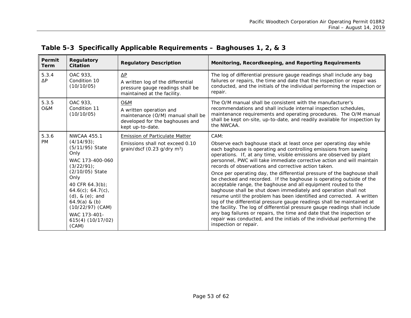<span id="page-52-0"></span>

| Permit<br><b>Term</b> | <b>Regulatory</b><br><b>Citation</b>                                                                                                                                                                                                                                                        | <b>Regulatory Description</b>                                                                                              | Monitoring, Recordkeeping, and Reporting Requirements                                                                                                                                                                                                                                                                                                                                                                                                                                                                                                                                                                                                                                                                                                                                                                                                                                                                                                                                                                                                          |
|-----------------------|---------------------------------------------------------------------------------------------------------------------------------------------------------------------------------------------------------------------------------------------------------------------------------------------|----------------------------------------------------------------------------------------------------------------------------|----------------------------------------------------------------------------------------------------------------------------------------------------------------------------------------------------------------------------------------------------------------------------------------------------------------------------------------------------------------------------------------------------------------------------------------------------------------------------------------------------------------------------------------------------------------------------------------------------------------------------------------------------------------------------------------------------------------------------------------------------------------------------------------------------------------------------------------------------------------------------------------------------------------------------------------------------------------------------------------------------------------------------------------------------------------|
| 5.3.4<br>$\Delta P$   | OAC 933,<br>Condition 10<br>(10/10/05)                                                                                                                                                                                                                                                      | ΔΡ<br>A written log of the differential<br>pressure gauge readings shall be<br>maintained at the facility.                 | The log of differential pressure gauge readings shall include any bag<br>failures or repairs, the time and date that the inspection or repair was<br>conducted, and the initials of the individual performing the inspection or<br>repair.                                                                                                                                                                                                                                                                                                                                                                                                                                                                                                                                                                                                                                                                                                                                                                                                                     |
| 5.3.5<br>O&M          | OAC 933.<br>Condition 11<br>(10/10/05)                                                                                                                                                                                                                                                      | O&M<br>A written operation and<br>maintenance (O/M) manual shall be<br>developed for the baghouses and<br>kept up-to-date. | The O/M manual shall be consistent with the manufacturer's<br>recommendations and shall include internal inspection schedules,<br>maintenance requirements and operating procedures. The O/M manual<br>shall be kept on-site, up-to-date, and readily available for inspection by<br>the NWCAA.                                                                                                                                                                                                                                                                                                                                                                                                                                                                                                                                                                                                                                                                                                                                                                |
| 5.3.6<br><b>PM</b>    | <b>NWCAA 455.1</b><br>$(4/14/93)$ ;<br>(5/11/95) State<br>Only<br>WAC 173-400-060<br>$(3/22/91)$ ;<br>(2/10/05) State<br>Only<br>40 CFR 64.3(b);<br>$64.6(c)$ ; $64.7(c)$ ,<br>$(d)$ , & $(e)$ ; and<br>$64.9(a)$ & (b)<br>$(10/22/97)$ (CAM)<br>WAC 173-401-<br>615(4) (10/17/02)<br>(CAM) | Emission of Particulate Matter<br>Emissions shall not exceed 0.10<br>grain/dscf $(0.23$ g/dry m <sup>3</sup> )             | CAM:<br>Observe each baghouse stack at least once per operating day while<br>each baghouse is operating and controlling emissions from sawing<br>operations. If, at any time, visible emissions are observed by plant<br>personnel, PWC will take immediate corrective action and will maintain<br>records of observations and corrective action taken.<br>Once per operating day, the differential pressure of the baghouse shall<br>be checked and recorded. If the baghouse is operating outside of the<br>acceptable range, the baghouse and all equipment routed to the<br>baghouse shall be shut down immediately and operation shall not<br>resume until the problem has been identified and corrected. A written<br>log of the differential pressure gauge readings shall be maintained at<br>the facility. The log of differential pressure gauge readings shall include<br>any bag failures or repairs, the time and date that the inspection or<br>repair was conducted, and the initials of the individual performing the<br>inspection or repair. |

## **Table 5-3 Specifically Applicable Requirements – Baghouses 1, 2, & 3**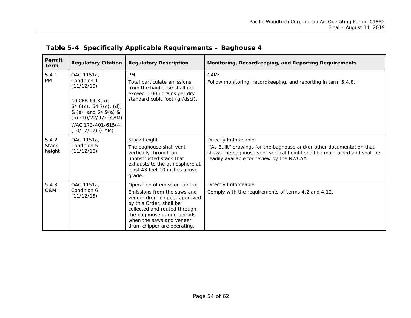<span id="page-53-0"></span>

| Permit<br><b>Term</b>           | <b>Regulatory Citation</b>                                                                                                                                                          | <b>Regulatory Description</b>                                                                                                                                                                                                                     | Monitoring, Recordkeeping, and Reporting Requirements                                                                                                                                                                   |
|---------------------------------|-------------------------------------------------------------------------------------------------------------------------------------------------------------------------------------|---------------------------------------------------------------------------------------------------------------------------------------------------------------------------------------------------------------------------------------------------|-------------------------------------------------------------------------------------------------------------------------------------------------------------------------------------------------------------------------|
| 5.4.1<br><b>PM</b>              | OAC 1151a.<br>Condition 1<br>(11/12/15)<br>40 CFR 64.3(b);<br>$64.6(c)$ ; 64.7(c), (d),<br>& (e); and 64.9(a) &<br>(b) (10/22/97) (CAM)<br>WAC 173-401-615(4)<br>$(10/17/02)$ (CAM) | <b>PM</b><br>Total particulate emissions<br>from the baghouse shall not<br>exceed 0.005 grains per dry<br>standard cubic foot (gr/dscf).                                                                                                          | CAM:<br>Follow monitoring, recordkeeping, and reporting in term 5.4.8.                                                                                                                                                  |
| 5.4.2<br><b>Stack</b><br>height | OAC 1151a,<br>Condition 5<br>(11/12/15)                                                                                                                                             | Stack height<br>The baghouse shall vent<br>vertically through an<br>unobstructed stack that<br>exhausts to the atmosphere at<br>least 43 feet 10 inches above<br>grade.                                                                           | Directly Enforceable:<br>"As Built" drawings for the baghouse and/or other documentation that<br>shows the baghouse vent vertical height shall be maintained and shall be<br>readily available for review by the NWCAA. |
| 5.4.3<br><b>O&amp;M</b>         | OAC 1151a,<br>Condition 6<br>(11/12/15)                                                                                                                                             | Operation of emission control<br>Emissions from the saws and<br>veneer drum chipper approved<br>by this Order, shall be<br>collected and routed through<br>the baghouse during periods<br>when the saws and veneer<br>drum chipper are operating. | Directly Enforceable:<br>Comply with the requirements of terms 4.2 and 4.12.                                                                                                                                            |

## **Table 5-4 Specifically Applicable Requirements – Baghouse 4**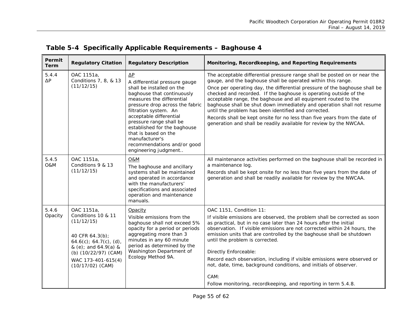| Permit<br>Term      | <b>Regulatory Citation</b>                                                                                                                                                                 | <b>Regulatory Description</b>                                                                                                                                                                                                                                                                                                                                                          | Monitoring, Recordkeeping, and Reporting Requirements                                                                                                                                                                                                                                                                                                                                                                                                                                                                                                                                                                                               |
|---------------------|--------------------------------------------------------------------------------------------------------------------------------------------------------------------------------------------|----------------------------------------------------------------------------------------------------------------------------------------------------------------------------------------------------------------------------------------------------------------------------------------------------------------------------------------------------------------------------------------|-----------------------------------------------------------------------------------------------------------------------------------------------------------------------------------------------------------------------------------------------------------------------------------------------------------------------------------------------------------------------------------------------------------------------------------------------------------------------------------------------------------------------------------------------------------------------------------------------------------------------------------------------------|
| 5.4.4<br>$\Delta P$ | OAC 1151a,<br>Conditions 7, 8, & 13<br>(11/12/15)                                                                                                                                          | $\Delta P$<br>A differential pressure gauge<br>shall be installed on the<br>baghouse that continuously<br>measures the differential<br>pressure drop across the fabric<br>filtration system. An<br>acceptable differential<br>pressure range shall be<br>established for the baghouse<br>that is based on the<br>manufacturer's<br>recommendations and/or good<br>engineering judgment | The acceptable differential pressure range shall be posted on or near the<br>gauge, and the baghouse shall be operated within this range.<br>Once per operating day, the differential pressure of the baghouse shall be<br>checked and recorded. If the baghouse is operating outside of the<br>acceptable range, the baghouse and all equipment routed to the<br>baghouse shall be shut down immediately and operation shall not resume<br>until the problem has been identified and corrected.<br>Records shall be kept onsite for no less than five years from the date of<br>generation and shall be readily available for review by the NWCAA. |
| 5.4.5<br>O&M        | OAC 1151a,<br>Conditions 9 & 13<br>(11/12/15)                                                                                                                                              | <b>O&amp;M</b><br>The baghouse and ancillary<br>systems shall be maintained<br>and operated in accordance<br>with the manufacturers'<br>specifications and associated<br>operation and maintenance<br>manuals.                                                                                                                                                                         | All maintenance activities performed on the baghouse shall be recorded in<br>a maintenance log.<br>Records shall be kept onsite for no less than five years from the date of<br>generation and shall be readily available for review by the NWCAA.                                                                                                                                                                                                                                                                                                                                                                                                  |
| 5.4.6<br>Opacity    | OAC 1151a,<br>Conditions 10 & 11<br>(11/12/15)<br>40 CFR 64.3(b);<br>$64.6(c)$ ; 64.7(c), (d),<br>& (e); and 64.9(a) &<br>(b) (10/22/97) (CAM)<br>WAC 173-401-615(4)<br>$(10/17/02)$ (CAM) | Opacity<br>Visible emissions from the<br>baghouse shall not exceed 5%<br>opacity for a period or periods<br>aggregating more than 3<br>minutes in any 60 minute<br>period as determined by the<br>Washington Department of<br>Ecology Method 9A.                                                                                                                                       | OAC 1151, Condition 11:<br>If visible emissions are observed, the problem shall be corrected as soon<br>as practical, but in no case later than 24 hours after the initial<br>observation. If visible emissions are not corrected within 24 hours, the<br>emission units that are controlled by the baghouse shall be shutdown<br>until the problem is corrected.<br>Directly Enforceable:<br>Record each observation, including if visible emissions were observed or<br>not, date, time, background conditions, and initials of observer.<br>CAM:<br>Follow monitoring, recordkeeping, and reporting in term 5.4.8.                               |

## **Table 5-4 Specifically Applicable Requirements – Baghouse 4**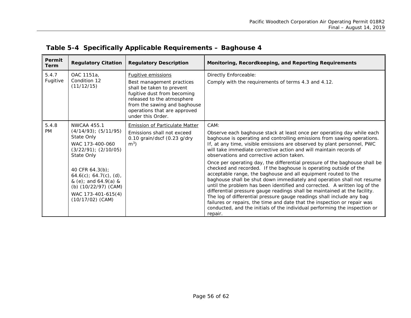| Permit<br><b>Term</b> | <b>Regulatory Citation</b>                                                                                                                                                                                                                                                | <b>Regulatory Description</b>                                                                                                                                                                                                         | Monitoring, Recordkeeping, and Reporting Requirements                                                                                                                                                                                                                                                                                                                                                                                                                                                                                                                                                                                                                                                                                                                                                                                                                                                                                                                                                                                                          |
|-----------------------|---------------------------------------------------------------------------------------------------------------------------------------------------------------------------------------------------------------------------------------------------------------------------|---------------------------------------------------------------------------------------------------------------------------------------------------------------------------------------------------------------------------------------|----------------------------------------------------------------------------------------------------------------------------------------------------------------------------------------------------------------------------------------------------------------------------------------------------------------------------------------------------------------------------------------------------------------------------------------------------------------------------------------------------------------------------------------------------------------------------------------------------------------------------------------------------------------------------------------------------------------------------------------------------------------------------------------------------------------------------------------------------------------------------------------------------------------------------------------------------------------------------------------------------------------------------------------------------------------|
| 5.4.7<br>Fugitive     | OAC 1151a.<br>Condition 12<br>(11/12/15)                                                                                                                                                                                                                                  | <b>Fugitive emissions</b><br>Best management practices<br>shall be taken to prevent<br>fugitive dust from becoming<br>released to the atmosphere<br>from the sawing and baghouse<br>operations that are approved<br>under this Order. | Directly Enforceable:<br>Comply with the requirements of terms 4.3 and 4.12.                                                                                                                                                                                                                                                                                                                                                                                                                                                                                                                                                                                                                                                                                                                                                                                                                                                                                                                                                                                   |
| 5.4.8<br><b>PM</b>    | <b>NWCAA 455.1</b><br>$(4/14/93)$ ; $(5/11/95)$<br>State Only<br>WAC 173-400-060<br>$(3/22/91);$ $(2/10/05)$<br>State Only<br>40 CFR 64.3(b);<br>$64.6(c)$ ; $64.7(c)$ , (d),<br>& (e); and 64.9(a) &<br>(b) (10/22/97) (CAM)<br>WAC 173-401-615(4)<br>$(10/17/02)$ (CAM) | Emission of Particulate Matter<br>Emissions shall not exceed<br>0.10 grain/dscf (0.23 g/dry<br>m <sup>3</sup>                                                                                                                         | CAM:<br>Observe each baghouse stack at least once per operating day while each<br>baghouse is operating and controlling emissions from sawing operations.<br>If, at any time, visible emissions are observed by plant personnel, PWC<br>will take immediate corrective action and will maintain records of<br>observations and corrective action taken.<br>Once per operating day, the differential pressure of the baghouse shall be<br>checked and recorded. If the baghouse is operating outside of the<br>acceptable range, the baghouse and all equipment routed to the<br>baghouse shall be shut down immediately and operation shall not resume<br>until the problem has been identified and corrected. A written log of the<br>differential pressure gauge readings shall be maintained at the facility.<br>The log of differential pressure gauge readings shall include any bag<br>failures or repairs, the time and date that the inspection or repair was<br>conducted, and the initials of the individual performing the inspection or<br>repair. |

## **Table 5-4 Specifically Applicable Requirements – Baghouse 4**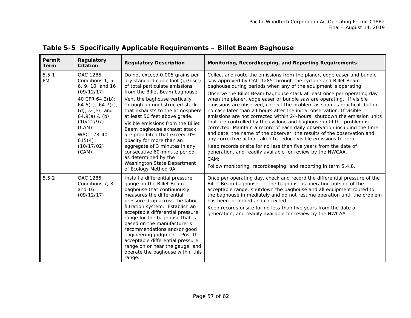<span id="page-56-0"></span>

| Permit<br><b>Term</b> | Regulatory<br><b>Citation</b>                                                                                                                                                                                               | <b>Regulatory Description</b>                                                                                                                                                                                                                                                                                                                                                                                                                                                                                                                                   | Monitoring, Recordkeeping, and Reporting Requirements                                                                                                                                                                                                                                                                                                                                                                                                                                                                                                                                                                                                                                                                                                                                                                                                                                                                                                                                                                                                                                                      |
|-----------------------|-----------------------------------------------------------------------------------------------------------------------------------------------------------------------------------------------------------------------------|-----------------------------------------------------------------------------------------------------------------------------------------------------------------------------------------------------------------------------------------------------------------------------------------------------------------------------------------------------------------------------------------------------------------------------------------------------------------------------------------------------------------------------------------------------------------|------------------------------------------------------------------------------------------------------------------------------------------------------------------------------------------------------------------------------------------------------------------------------------------------------------------------------------------------------------------------------------------------------------------------------------------------------------------------------------------------------------------------------------------------------------------------------------------------------------------------------------------------------------------------------------------------------------------------------------------------------------------------------------------------------------------------------------------------------------------------------------------------------------------------------------------------------------------------------------------------------------------------------------------------------------------------------------------------------------|
| 5.5.1<br>PM           | OAC 1285,<br>Conditions 1, 5,<br>6, 9, 10, and 16<br>(09/12/17)<br>40 CFR 64.3(b);<br>64.6(c); 64.7(c),<br>$(d)$ , & $(e)$ ; and<br>$64.9(a)$ & (b)<br>(10/22/97)<br>(CAM)<br>WAC 173-401-<br>615(4)<br>(10/17/02)<br>(CAM) | Do not exceed 0.005 grains per<br>dry standard cubic foot (gr/dscf)<br>of total particulate emissions<br>from the Billet Beam baghouse.<br>Vent the baghouse vertically<br>through an unobstructed stack<br>that exhausts to the atmosphere<br>at least 50 feet above grade.<br>Visible emissions from the Billet<br>Beam baghouse exhaust stack<br>are prohibited that exceed 0%<br>opacity for more than an<br>aggregate of 3 minutes in any<br>consecutive 60-minute period,<br>as determined by the<br>Washington State Department<br>of Ecology Method 9A. | Collect and route the emissions from the planer, edge easer and bundle<br>saw approved by OAC 1285 through the cyclone and Billet Beam<br>baghouse during periods when any of the equipment is operating.<br>Observe the Billet Beam baghouse stack at least once per operating day<br>when the planer, edge easer or bundle saw are operating. If visible<br>emissions are observed, correct the problem as soon as practical, but in<br>no case later than 24 hours after the initial observation. If visible<br>emissions are not corrected within 24-hours, shutdown the emission units<br>that are controlled by the cyclone and baghouse until the problem is<br>corrected. Maintain a record of each daily observation including the time<br>and date, the name of the observer, the results of the observation and<br>any corrective action taken to reduce visible emissions to zero.<br>Keep records onsite for no less than five years from the date of<br>generation, and readily available for review by the NWCAA.<br>CAM:<br>Follow monitoring, recordkeeping, and reporting in term 5.4.8. |
| 5.5.2                 | OAC 1285,<br>Conditions 7, 8<br>and 16<br>(09/12/17)                                                                                                                                                                        | Install a differential pressure<br>gauge on the Billet Beam<br>baghouse that continuously<br>measures the differential<br>pressure drop across the fabric<br>filtration system. Establish an<br>acceptable differential pressure<br>range for the baghouse that is<br>based on the manufacturer's<br>recommendations and/or good<br>engineering judgment. Post the<br>acceptable differential pressure<br>range on or near the gauge, and<br>operate the baghouse within this<br>range.                                                                         | Once per operating day, check and record the differential pressure of the<br>Billet Beam baghouse. If the baghouse is operating outside of the<br>acceptable range, shutdown the baghouse and all equipment routed to<br>the baghouse immediately and do not resume operation until the problem<br>has been identified and corrected.<br>Keep records onsite for no less than five years from the date of<br>generation, and readily available for review by the NWCAA.                                                                                                                                                                                                                                                                                                                                                                                                                                                                                                                                                                                                                                    |

## **Table 5-5 Specifically Applicable Requirements – Billet Beam Baghouse**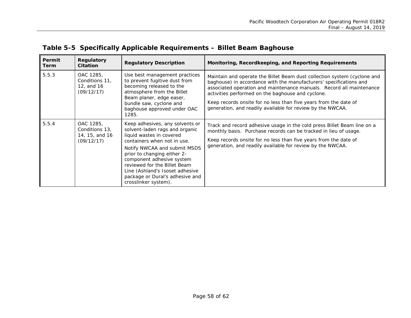| Permit<br><b>Term</b> | Regulatory<br><b>Citation</b>                               | <b>Regulatory Description</b>                                                                                                                                                                                                                                                                                                                          | Monitoring, Recordkeeping, and Reporting Requirements                                                                                                                                                                                                                                                                                                                                                         |
|-----------------------|-------------------------------------------------------------|--------------------------------------------------------------------------------------------------------------------------------------------------------------------------------------------------------------------------------------------------------------------------------------------------------------------------------------------------------|---------------------------------------------------------------------------------------------------------------------------------------------------------------------------------------------------------------------------------------------------------------------------------------------------------------------------------------------------------------------------------------------------------------|
| 5.5.3                 | OAC 1285,<br>Conditions 11,<br>12, and 16<br>(09/12/17)     | Use best management practices<br>to prevent fugitive dust from<br>becoming released to the<br>atmosphere from the Billet<br>Beam planer, edge easer,<br>bundle saw, cyclone and<br>baghouse approved under OAC<br>1285.                                                                                                                                | Maintain and operate the Billet Beam dust collection system (cyclone and<br>baghouse) in accordance with the manufacturers' specifications and<br>associated operation and maintenance manuals. Record all maintenance<br>activities performed on the baghouse and cyclone.<br>Keep records onsite for no less than five years from the date of<br>generation, and readily available for review by the NWCAA. |
| 5.5.4                 | OAC 1285,<br>Conditions 13,<br>14, 15, and 16<br>(09/12/17) | Keep adhesives, any solvents or<br>solvent-laden rags and organic<br>liquid wastes in covered<br>containers when not in use.<br>Notify NWCAA and submit MSDS<br>prior to changing either 2-<br>component adhesive system<br>reviewed for the Billet Beam<br>Line (Ashland's Isoset adhesive<br>package or Dural's adhesive and<br>crosslinker system). | Track and record adhesive usage in the cold press Billet Beam line on a<br>monthly basis. Purchase records can be tracked in lieu of usage.<br>Keep records onsite for no less than five years from the date of<br>generation, and readily available for review by the NWCAA.                                                                                                                                 |

## **Table 5-5 Specifically Applicable Requirements – Billet Beam Baghouse**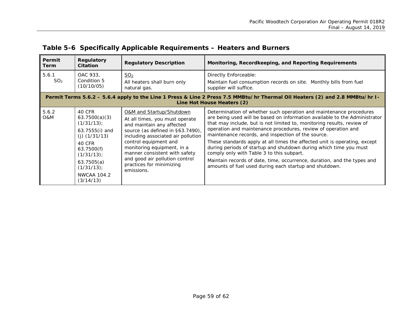<span id="page-58-0"></span>

| Permit<br>Term                                                                                                                                             | Regulatory<br><b>Citation</b>                                                                                                                                                            | <b>Regulatory Description</b>                                                                                                                                                                                                                                                                                                         | Monitoring, Recordkeeping, and Reporting Requirements                                                                                                                                                                                                                                                                                                                                                                                                                                                                                                                                                                                                                                 |  |
|------------------------------------------------------------------------------------------------------------------------------------------------------------|------------------------------------------------------------------------------------------------------------------------------------------------------------------------------------------|---------------------------------------------------------------------------------------------------------------------------------------------------------------------------------------------------------------------------------------------------------------------------------------------------------------------------------------|---------------------------------------------------------------------------------------------------------------------------------------------------------------------------------------------------------------------------------------------------------------------------------------------------------------------------------------------------------------------------------------------------------------------------------------------------------------------------------------------------------------------------------------------------------------------------------------------------------------------------------------------------------------------------------------|--|
| 5.6.1<br>SO <sub>2</sub>                                                                                                                                   | OAC 933,<br>Condition 5<br>(10/10/05)                                                                                                                                                    | SO <sub>2</sub><br>All heaters shall burn only<br>natural gas.                                                                                                                                                                                                                                                                        | Directly Enforceable:<br>Maintain fuel consumption records on site. Monthly bills from fuel<br>supplier will suffice.                                                                                                                                                                                                                                                                                                                                                                                                                                                                                                                                                                 |  |
| Permit Terms 5.6.2 - 5.6.4 apply to the Line 1 Press & Line 2 Press 7.5 MMBtu/hr Thermal Oil Heaters (2) and 2.8 MMBtu/hr I-<br>Line Hot House Heaters (2) |                                                                                                                                                                                          |                                                                                                                                                                                                                                                                                                                                       |                                                                                                                                                                                                                                                                                                                                                                                                                                                                                                                                                                                                                                                                                       |  |
| 5.6.2<br>O&M                                                                                                                                               | 40 CFR<br>63.7500(a)(3)<br>$(1/31/13)$ ;<br>63.7555(i) and<br>$(i)$ (1/31/13)<br>40 CFR<br>63.7500(f)<br>$(1/31/13)$ ;<br>63.7505(a)<br>$(1/31/13)$ ;<br><b>NWCAA 104.2</b><br>(3/14/13) | O&M and Startup/Shutdown<br>At all times, you must operate<br>and maintain any affected<br>source (as defined in §63.7490),<br>including associated air pollution<br>control equipment and<br>monitoring equipment, in a<br>manner consistent with safety<br>and good air pollution control<br>practices for minimizing<br>emissions. | Determination of whether such operation and maintenance procedures<br>are being used will be based on information available to the Administrator<br>that may include, but is not limited to, monitoring results, review of<br>operation and maintenance procedures, review of operation and<br>maintenance records, and inspection of the source.<br>These standards apply at all times the affected unit is operating, except<br>during periods of startup and shutdown during which time you must<br>comply only with Table 3 to this subpart.<br>Maintain records of date, time, occurrence, duration, and the types and<br>amounts of fuel used during each startup and shutdown. |  |

## **Table 5-6 Specifically Applicable Requirements – Heaters and Burners**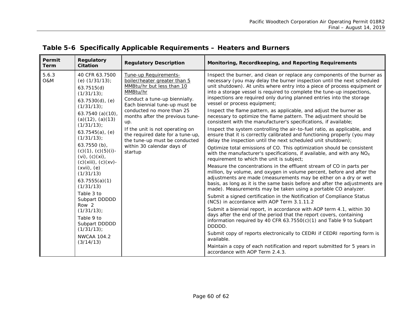| Permit<br><b>Term</b>   | Regulatory<br><b>Citation</b>                                                                                                                                                                                                                                                                                                                                                                                                                                                                                             | <b>Regulatory Description</b>                                                                                                                                                                                                                                                                                                                                                            | Monitoring, Recordkeeping, and Reporting Requirements                                                                                                                                                                                                                                                                                                                                                                                                                                                                                                                                                                                                                                                                                                                                                                                                                                                                                                                                                                                                                                                                                                                                                                                                                                                                                                                                                                                                                                                                                                                                                                                                                                                                                                                                                                                                                                                                                                                                                             |
|-------------------------|---------------------------------------------------------------------------------------------------------------------------------------------------------------------------------------------------------------------------------------------------------------------------------------------------------------------------------------------------------------------------------------------------------------------------------------------------------------------------------------------------------------------------|------------------------------------------------------------------------------------------------------------------------------------------------------------------------------------------------------------------------------------------------------------------------------------------------------------------------------------------------------------------------------------------|-------------------------------------------------------------------------------------------------------------------------------------------------------------------------------------------------------------------------------------------------------------------------------------------------------------------------------------------------------------------------------------------------------------------------------------------------------------------------------------------------------------------------------------------------------------------------------------------------------------------------------------------------------------------------------------------------------------------------------------------------------------------------------------------------------------------------------------------------------------------------------------------------------------------------------------------------------------------------------------------------------------------------------------------------------------------------------------------------------------------------------------------------------------------------------------------------------------------------------------------------------------------------------------------------------------------------------------------------------------------------------------------------------------------------------------------------------------------------------------------------------------------------------------------------------------------------------------------------------------------------------------------------------------------------------------------------------------------------------------------------------------------------------------------------------------------------------------------------------------------------------------------------------------------------------------------------------------------------------------------------------------------|
| 5.6.3<br><b>O&amp;M</b> | 40 CFR 63.7500<br>(e) $(1/31/13)$ ;<br>63.7515(d)<br>$(1/31/13)$ ;<br>$63.7530(d)$ , (e)<br>$(1/31/13)$ ;<br>63.7540 (a)(10),<br>$(a)(12)$ , $(a)(13)$<br>$(1/31/13)$ ;<br>$63.7545(a)$ , (e)<br>$(1/31/13)$ ;<br>$63.7550$ (b),<br>$(c)(1)$ , $(c)(5)(i)$ -<br>$(vi)$ , $(c)(xi)$ ,<br>$(c)(xiii), (c)(xv)$ -<br>$(xvii)$ , $(e)$<br>(1/31/13)<br>63.7555(a)(1)<br>(1/31/13)<br>Table 3 to<br>Subpart DDDDD<br>Row 2<br>$(1/31/13)$ ;<br>Table 9 to<br>Subpart DDDDD<br>$(1/31/13)$ ;<br><b>NWCAA 104.2</b><br>(3/14/13) | Tune-up Requirements-<br>boiler/heater greater than 5<br>MMBtu/hr but less than 10<br>MMBtu/hr<br>Conduct a tune-up biennially.<br>Each biennial tune-up must be<br>conducted no more than 25<br>months after the previous tune-<br>up.<br>If the unit is not operating on<br>the required date for a tune-up,<br>the tune-up must be conducted<br>within 30 calendar days of<br>startup | Inspect the burner, and clean or replace any components of the burner as<br>necessary (you may delay the burner inspection until the next scheduled<br>unit shutdown). At units where entry into a piece of process equipment or<br>into a storage vessel is required to complete the tune-up inspections,<br>inspections are required only during planned entries into the storage<br>vessel or process equipment;<br>Inspect the flame pattern, as applicable, and adjust the burner as<br>necessary to optimize the flame pattern. The adjustment should be<br>consistent with the manufacturer's specifications, if available;<br>Inspect the system controlling the air-to-fuel ratio, as applicable, and<br>ensure that it is correctly calibrated and functioning properly (you may<br>delay the inspection until the next scheduled unit shutdown);<br>Optimize total emissions of CO. This optimization should be consistent<br>with the manufacturer's specifications, if available, and with any NO <sub>x</sub><br>requirement to which the unit is subject;<br>Measure the concentrations in the effluent stream of CO in parts per<br>million, by volume, and oxygen in volume percent, before and after the<br>adjustments are made (measurements may be either on a dry or wet<br>basis, as long as it is the same basis before and after the adjustments are<br>made). Measurements may be taken using a portable CO analyzer.<br>Submit a signed certification in the Notification of Compliance Status<br>(NCS) in accordance with AOP Term 3.1.11.2<br>Submit a biennial report, in accordance with AOP term 4.1, within 30<br>days after the end of the period that the report covers, containing<br>information required by 40 CFR 63.7550(c)(1) and Table 9 to Subpart<br>DDDDD.<br>Submit copy of reports electronically to CEDRI if CEDRI reporting form is<br>available.<br>Maintain a copy of each notification and report submitted for 5 years in<br>accordance with AOP Term 2.4.3. |

## **Table 5-6 Specifically Applicable Requirements – Heaters and Burners**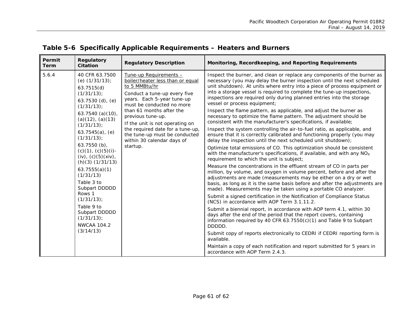| Permit<br>Regulatory<br><b>Citation</b><br>Term                                                                                                                                                                                                                                                                                                                                                                                                                                                      | <b>Regulatory Description</b>                                                                                                                                                                                                                                                                                                                                             | Monitoring, Recordkeeping, and Reporting Requirements                                                                                                                                                                                                                                                                                                                                                                                                                                                                                                                                                                                                                                                                                                                                                                                                                                                                                                                                                                                                                                                                                                                                                                                                                                                                                                                                                                                                                                                                                                                                                                                                                                                                                                                                                                                                                                                                                                                                                              |
|------------------------------------------------------------------------------------------------------------------------------------------------------------------------------------------------------------------------------------------------------------------------------------------------------------------------------------------------------------------------------------------------------------------------------------------------------------------------------------------------------|---------------------------------------------------------------------------------------------------------------------------------------------------------------------------------------------------------------------------------------------------------------------------------------------------------------------------------------------------------------------------|--------------------------------------------------------------------------------------------------------------------------------------------------------------------------------------------------------------------------------------------------------------------------------------------------------------------------------------------------------------------------------------------------------------------------------------------------------------------------------------------------------------------------------------------------------------------------------------------------------------------------------------------------------------------------------------------------------------------------------------------------------------------------------------------------------------------------------------------------------------------------------------------------------------------------------------------------------------------------------------------------------------------------------------------------------------------------------------------------------------------------------------------------------------------------------------------------------------------------------------------------------------------------------------------------------------------------------------------------------------------------------------------------------------------------------------------------------------------------------------------------------------------------------------------------------------------------------------------------------------------------------------------------------------------------------------------------------------------------------------------------------------------------------------------------------------------------------------------------------------------------------------------------------------------------------------------------------------------------------------------------------------------|
| 5.6.4<br>40 CFR 63.7500<br>(e) $(1/31/13)$ ;<br>63.7515(d)<br>$(1/31/13)$ ;<br>$63.7530$ (d), (e)<br>$(1/31/13)$ ;<br>63.7540 (a)(10),<br>$(a)(12)$ , $(a)(13)$<br>$(1/31/13)$ ;<br>$63.7545(a)$ , (e)<br>$(1/31/13)$ ;<br>$63.7550(b)$ ,<br>$(c)(1)$ , $(c)(5)(i)$ -<br>$(iv)$ , $(c)(5)(xiv)$ ,<br>$(h)(3)$ $(1/31/13)$<br>63.7555(a)(1)<br>(1/31/13)<br>Table 3 to<br>Subpart DDDDD<br>Rows 1<br>$(1/31/13)$ ;<br>Table 9 to<br>Subpart DDDDD<br>$(1/31/13)$ ;<br><b>NWCAA 104.2</b><br>(3/14/13) | Tune-up Requirements -<br>boiler/heater less than or equal<br>to 5 MMBtu/hr<br>Conduct a tune-up every five<br>years. Each 5-year tune-up<br>must be conducted no more<br>than 61 months after the<br>previous tune-up.<br>If the unit is not operating on<br>the required date for a tune-up,<br>the tune-up must be conducted<br>within 30 calendar days of<br>startup. | Inspect the burner, and clean or replace any components of the burner as<br>necessary (you may delay the burner inspection until the next scheduled<br>unit shutdown). At units where entry into a piece of process equipment or<br>into a storage vessel is required to complete the tune-up inspections,<br>inspections are required only during planned entries into the storage<br>vessel or process equipment;<br>Inspect the flame pattern, as applicable, and adjust the burner as<br>necessary to optimize the flame pattern. The adjustment should be<br>consistent with the manufacturer's specifications, if available;<br>Inspect the system controlling the air-to-fuel ratio, as applicable, and<br>ensure that it is correctly calibrated and functioning properly (you may<br>delay the inspection until the next scheduled unit shutdown);<br>Optimize total emissions of CO. This optimization should be consistent<br>with the manufacturer's specifications, if available, and with any NO <sub>x</sub><br>requirement to which the unit is subject;<br>Measure the concentrations in the effluent stream of CO in parts per<br>million, by volume, and oxygen in volume percent, before and after the<br>adjustments are made (measurements may be either on a dry or wet<br>basis, as long as it is the same basis before and after the adjustments are<br>made). Measurements may be taken using a portable CO analyzer.<br>Submit a signed certification in the Notification of Compliance Status<br>(NCS) in accordance with AOP Term 3.1.11.2.<br>Submit a biennial report, in accordance with AOP term 4.1, within 30<br>days after the end of the period that the report covers, containing<br>information required by 40 CFR 63.7550(c)(1) and Table 9 to Subpart<br>DDDDD.<br>Submit copy of reports electronically to CEDRI if CEDRI reporting form is<br>available.<br>Maintain a copy of each notification and report submitted for 5 years in<br>accordance with AOP Term 2.4.3. |

## **Table 5-6 Specifically Applicable Requirements – Heaters and Burners**